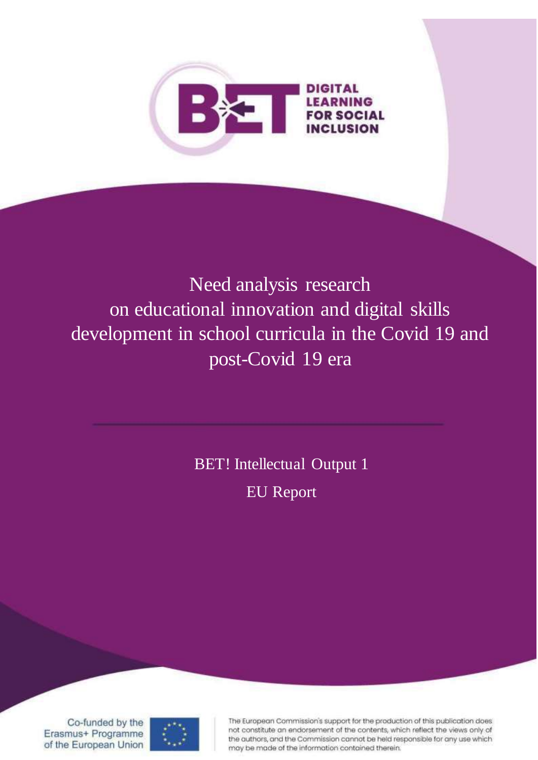

# Need analysis research Need analysis research on educational innovation and digital skills on educational innovation and digital skills development in school curricula in the Covid 19 and development in school curricula in the Covid 19 and post-Covid 19 era post-Covid 19 era

BET! Intellectual Output 1 EU Report

Co-funded by the Erasmus+ Programme of the European Union



The European Commission's support for the production of this publication does. not constitute an endorsement of the contents, which reflect the views only of the authors, and the Commission cannot be held responsible for any use which may be made of the information contained therein.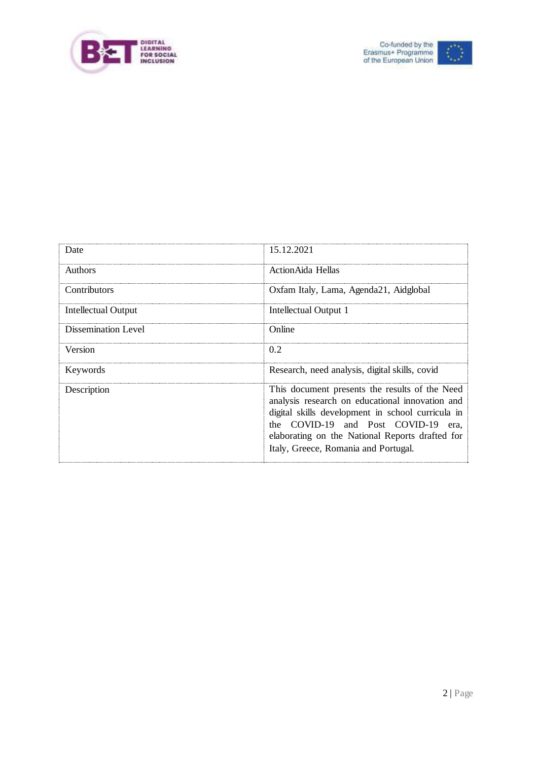



| Date                       | 15.12.2021                                                                                                                                                                                                                                                                                  |
|----------------------------|---------------------------------------------------------------------------------------------------------------------------------------------------------------------------------------------------------------------------------------------------------------------------------------------|
| Authors                    | ActionAida Hellas                                                                                                                                                                                                                                                                           |
| Contributors               | Oxfam Italy, Lama, Agenda21, Aidglobal                                                                                                                                                                                                                                                      |
| Intellectual Output        | Intellectual Output 1                                                                                                                                                                                                                                                                       |
| <b>Dissemination Level</b> | Online                                                                                                                                                                                                                                                                                      |
| Version                    | 0.2                                                                                                                                                                                                                                                                                         |
| Keywords                   | Research, need analysis, digital skills, covid                                                                                                                                                                                                                                              |
| Description                | This document presents the results of the Need<br>analysis research on educational innovation and<br>digital skills development in school curricula in<br>the COVID-19 and Post COVID-19<br>era.<br>elaborating on the National Reports drafted for<br>Italy, Greece, Romania and Portugal. |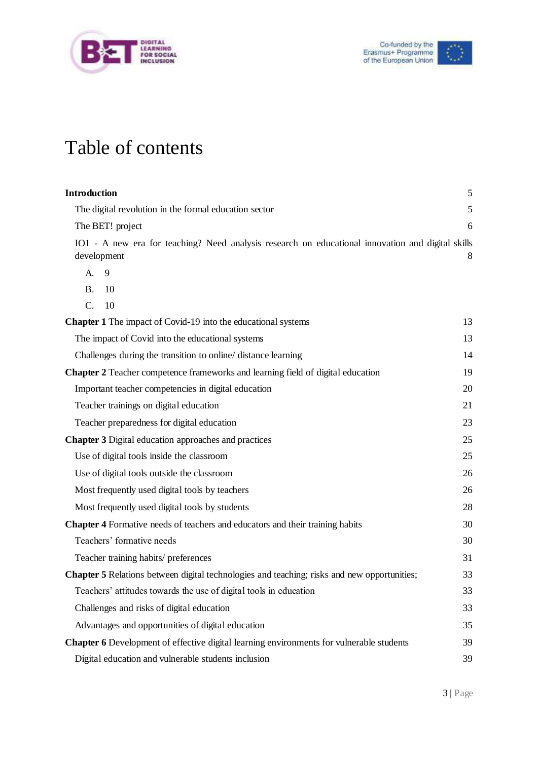



### Table of contents

| <b>Introduction</b>                                                                                              | 5  |
|------------------------------------------------------------------------------------------------------------------|----|
| The digital revolution in the formal education sector                                                            | 5  |
| The BET! project                                                                                                 | 6  |
| IO1 - A new era for teaching? Need analysis research on educational innovation and digital skills<br>development | 8  |
| 9<br>A.                                                                                                          |    |
| 10<br><b>B.</b>                                                                                                  |    |
| $C$ .<br>10                                                                                                      |    |
| <b>Chapter 1</b> The impact of Covid-19 into the educational systems                                             | 13 |
| The impact of Covid into the educational systems                                                                 | 13 |
| Challenges during the transition to online/ distance learning                                                    | 14 |
| <b>Chapter 2</b> Teacher competence frameworks and learning field of digital education                           | 19 |
| Important teacher competencies in digital education                                                              | 20 |
| Teacher trainings on digital education                                                                           | 21 |
| Teacher preparedness for digital education                                                                       | 23 |
| <b>Chapter 3</b> Digital education approaches and practices                                                      | 25 |
| Use of digital tools inside the classroom                                                                        | 25 |
| Use of digital tools outside the classroom                                                                       | 26 |
| Most frequently used digital tools by teachers                                                                   | 26 |
| Most frequently used digital tools by students                                                                   | 28 |
| Chapter 4 Formative needs of teachers and educators and their training habits                                    | 30 |
| Teachers' formative needs                                                                                        | 30 |
| Teacher training habits/ preferences                                                                             | 31 |
| <b>Chapter 5</b> Relations between digital technologies and teaching; risks and new opportunities;               | 33 |
| Teachers' attitudes towards the use of digital tools in education                                                | 33 |
| Challenges and risks of digital education                                                                        | 33 |
| Advantages and opportunities of digital education                                                                | 35 |
| <b>Chapter 6</b> Development of effective digital learning environments for vulnerable students                  | 39 |
| Digital education and vulnerable students inclusion                                                              | 39 |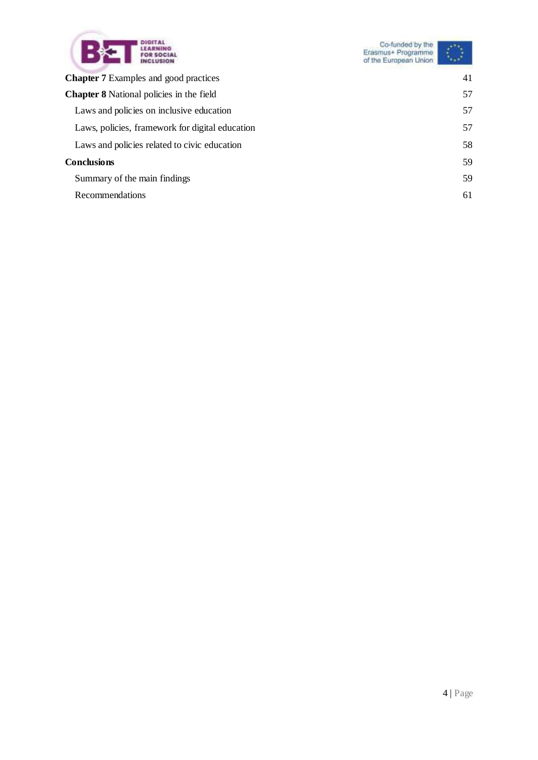



|                                                 | ERSPITED LIMIT LIMIT AND LIMIT AND<br>of the European Union |    |
|-------------------------------------------------|-------------------------------------------------------------|----|
| <b>Chapter 7</b> Examples and good practices    |                                                             | 41 |
| <b>Chapter 8</b> National policies in the field |                                                             | 57 |
| Laws and policies on inclusive education        |                                                             | 57 |
| Laws, policies, framework for digital education |                                                             | 57 |
| Laws and policies related to civic education    |                                                             | 58 |
| <b>Conclusions</b>                              |                                                             | 59 |
| Summary of the main findings                    |                                                             | 59 |

[Recommendations](#page-53-0) 61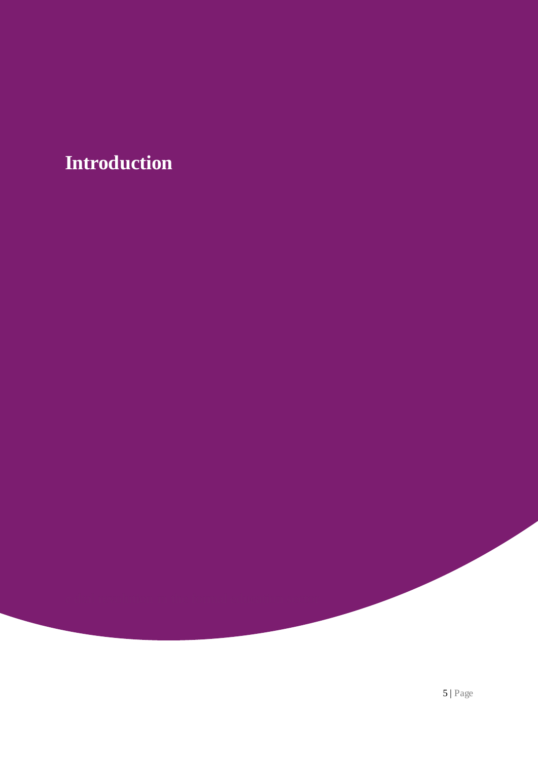# <span id="page-4-1"></span><span id="page-4-0"></span>**Introduction**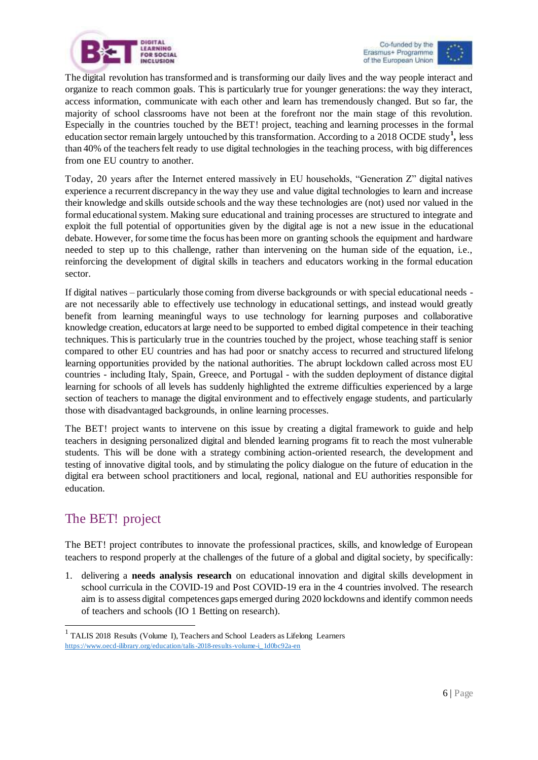



The digital revolution has transformed and is transforming our daily lives and the way people interact and organize to reach common goals. This is particularly true for younger generations: the way they interact, access information, communicate with each other and learn has tremendously changed. But so far, the majority of school classrooms have not been at the forefront nor the main stage of this revolution. Especially in the countries touched by the BET! project, teaching and learning processes in the formal education sector remain largely untouched by this transformation. According to a 2018 OCDE study**<sup>1</sup> ,** less than 40% of the teachers felt ready to use digital technologies in the teaching process, with big differences from one EU country to another.

Today, 20 years after the Internet entered massively in EU households, "Generation Z" digital natives experience a recurrent discrepancy in the way they use and value digital technologies to learn and increase their knowledge and skills outside schools and the way these technologies are (not) used nor valued in the formal educational system. Making sure educational and training processes are structured to integrate and exploit the full potential of opportunities given by the digital age is not a new issue in the educational debate. However, for some time the focus has been more on granting schools the equipment and hardware needed to step up to this challenge, rather than intervening on the human side of the equation, i.e., reinforcing the development of digital skills in teachers and educators working in the formal education sector.

If digital natives – particularly those coming from diverse backgrounds or with special educational needs are not necessarily able to effectively use technology in educational settings, and instead would greatly benefit from learning meaningful ways to use technology for learning purposes and collaborative knowledge creation, educators at large need to be supported to embed digital competence in their teaching techniques. This is particularly true in the countries touched by the project, whose teaching staff is senior compared to other EU countries and has had poor or snatchy access to recurred and structured lifelong learning opportunities provided by the national authorities. The abrupt lockdown called across most EU countries - including Italy, Spain, Greece, and Portugal - with the sudden deployment of distance digital learning for schools of all levels has suddenly highlighted the extreme difficulties experienced by a large section of teachers to manage the digital environment and to effectively engage students, and particularly those with disadvantaged backgrounds, in online learning processes.

The BET! project wants to intervene on this issue by creating a digital framework to guide and help teachers in designing personalized digital and blended learning programs fit to reach the most vulnerable students. This will be done with a strategy combining action-oriented research, the development and testing of innovative digital tools, and by stimulating the policy dialogue on the future of education in the digital era between school practitioners and local, regional, national and EU authorities responsible for education.

### <span id="page-5-0"></span>The BET! project

 $\overline{a}$ 

The BET! project contributes to innovate the professional practices, skills, and knowledge of European teachers to respond properly at the challenges of the future of a global and digital society, by specifically:

1. delivering a **needs analysis research** on educational innovation and digital skills development in school curricula in the COVID-19 and Post COVID-19 era in the 4 countries involved. The research aim is to assess digital competences gaps emerged during 2020 lockdowns and identify common needs of teachers and schools (IO 1 Betting on research).

<sup>&</sup>lt;sup>1</sup> TALIS 2018 Results (Volume I), Teachers and School Leaders as Lifelong Learners [https://www.oecd-ilibrary.org/education/talis-2018-results-volume-i\\_1d0bc92a-en](https://www.oecd-ilibrary.org/education/talis-2018-results-volume-i_1d0bc92a-en)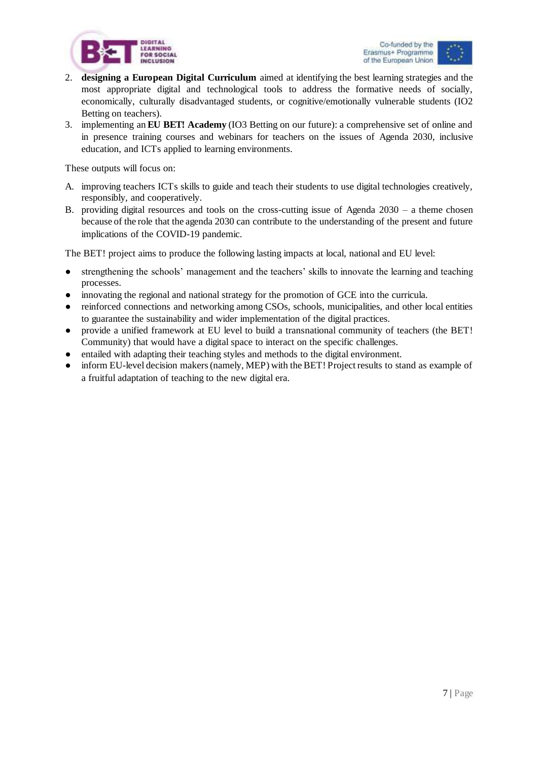

- 2. **designing a European Digital Curriculum** aimed at identifying the best learning strategies and the most appropriate digital and technological tools to address the formative needs of socially, economically, culturally disadvantaged students, or cognitive/emotionally vulnerable students (IO2 Betting on teachers).
- 3. implementing an **EU BET! Academy** (IO3 Betting on our future): a comprehensive set of online and in presence training courses and webinars for teachers on the issues of Agenda 2030, inclusive education, and ICTs applied to learning environments.

These outputs will focus on:

- A. improving teachers ICTs skills to guide and teach their students to use digital technologies creatively, responsibly, and cooperatively.
- B. providing digital resources and tools on the cross-cutting issue of Agenda 2030 a theme chosen because of the role that the agenda 2030 can contribute to the understanding of the present and future implications of the COVID-19 pandemic.

The BET! project aims to produce the following lasting impacts at local, national and EU level:

- strengthening the schools' management and the teachers' skills to innovate the learning and teaching processes.
- innovating the regional and national strategy for the promotion of GCE into the curricula.
- reinforced connections and networking among CSOs, schools, municipalities, and other local entities to guarantee the sustainability and wider implementation of the digital practices.
- provide a unified framework at EU level to build a transnational community of teachers (the BET! Community) that would have a digital space to interact on the specific challenges.
- entailed with adapting their teaching styles and methods to the digital environment.
- inform EU-level decision makers (namely, MEP) with the BET! Project results to stand as example of a fruitful adaptation of teaching to the new digital era.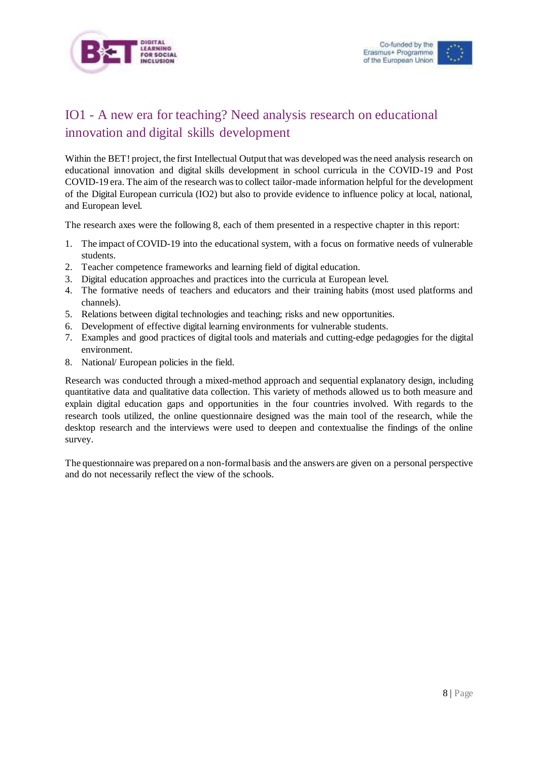



### <span id="page-7-0"></span>IO1 - A new era for teaching? Need analysis research on educational innovation and digital skills development

Within the BET! project, the first Intellectual Output that was developed was the need analysis research on educational innovation and digital skills development in school curricula in the COVID-19 and Post COVID-19 era. The aim of the research was to collect tailor-made information helpful for the development of the Digital European curricula (IO2) but also to provide evidence to influence policy at local, national, and European level.

The research axes were the following 8, each of them presented in a respective chapter in this report:

- 1. The impact of COVID-19 into the educational system, with a focus on formative needs of vulnerable students.
- 2. Teacher competence frameworks and learning field of digital education.
- 3. Digital education approaches and practices into the curricula at European level.
- 4. The formative needs of teachers and educators and their training habits (most used platforms and channels).
- 5. Relations between digital technologies and teaching; risks and new opportunities.
- 6. Development of effective digital learning environments for vulnerable students.
- 7. Examples and good practices of digital tools and materials and cutting-edge pedagogies for the digital environment.
- 8. National/ European policies in the field.

Research was conducted through a mixed-method approach and sequential explanatory design, including quantitative data and qualitative data collection. This variety of methods allowed us to both measure and explain digital education gaps and opportunities in the four countries involved. With regards to the research tools utilized, the online questionnaire designed was the main tool of the research, while the desktop research and the interviews were used to deepen and contextualise the findings of the online survey.

The questionnaire was prepared on a non-formal basis and the answers are given on a personal perspective and do not necessarily reflect the view of the schools.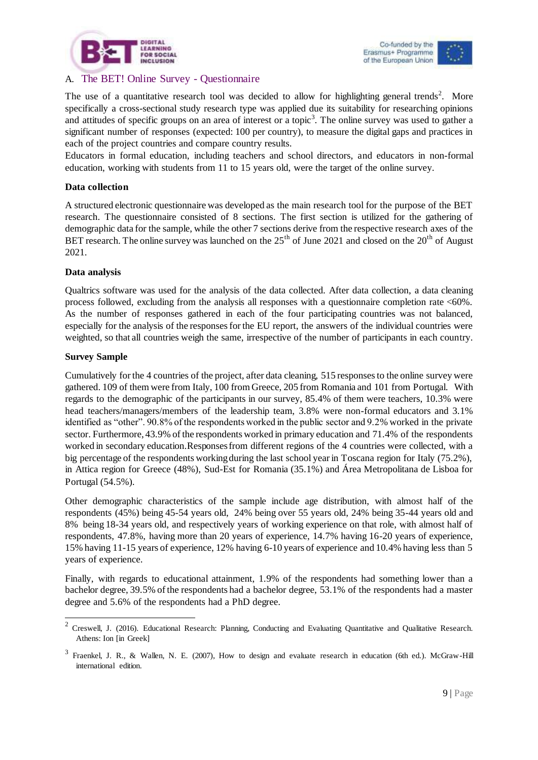

#### <span id="page-8-0"></span>A. The BET! Online Survey - Questionnaire

The use of a quantitative research tool was decided to allow for highlighting general trends<sup>2</sup>. More specifically a cross-sectional study research type was applied due its suitability for researching opinions and attitudes of specific groups on an area of interest or a topic<sup>3</sup>. The online survey was used to gather a significant number of responses (expected: 100 per country), to measure the digital gaps and practices in each of the project countries and compare country results.

Educators in formal education, including teachers and school directors, and educators in non-formal education, working with students from 11 to 15 years old, were the target of the online survey.

#### **Data collection**

A structured electronic questionnaire was developed as the main research tool for the purpose of the BET research. The questionnaire consisted of 8 sections. The first section is utilized for the gathering of demographic data for the sample, while the other 7 sections derive from the respective research axes of the BET research. The online survey was launched on the  $25<sup>th</sup>$  of June 2021 and closed on the  $20<sup>th</sup>$  of August 2021.

#### **Data analysis**

Qualtrics software was used for the analysis of the data collected. After data collection, a data cleaning process followed, excluding from the analysis all responses with a questionnaire completion rate <60%. As the number of responses gathered in each of the four participating countries was not balanced, especially for the analysis of the responses for the EU report, the answers of the individual countries were weighted, so that all countries weigh the same, irrespective of the number of participants in each country.

#### **Survey Sample**

Cumulatively for the 4 countries of the project, after data cleaning, 515 responses to the online survey were gathered. 109 of them were from Italy, 100 from Greece, 205 from Romania and 101 from Portugal. With regards to the demographic of the participants in our survey, 85.4% of them were teachers, 10.3% were head teachers/managers/members of the leadership team, 3.8% were non-formal educators and 3.1% identified as "other". 90.8% of the respondents worked in the public sector and 9.2% worked in the private sector. Furthermore, 43.9% of the respondents worked in primary education and 71.4% of the respondents worked in secondary education.Responses from different regions of the 4 countries were collected, with a big percentage of the respondents working during the last school year in Toscana region for Italy (75.2%), in Attica region for Greece (48%), Sud-Est for Romania (35.1%) and Área Metropolitana de Lisboa for Portugal (54.5%).

Other demographic characteristics of the sample include age distribution, with almost half of the respondents (45%) being 45-54 years old, 24% being over 55 years old, 24% being 35-44 years old and 8% being 18-34 years old, and respectively years of working experience on that role, with almost half of respondents, 47.8%, having more than 20 years of experience, 14.7% having 16-20 years of experience, 15% having 11-15 years of experience, 12% having 6-10 years of experience and 10.4% having less than 5 years of experience.

Finally, with regards to educational attainment, 1.9% of the respondents had something lower than a bachelor degree, 39.5% of the respondents had a bachelor degree, 53.1% of the respondents had a master degree and 5.6% of the respondents had a PhD degree.

<sup>&</sup>lt;sup>2</sup> Creswell, J. (2016). Educational Research: Planning, Conducting and Evaluating Quantitative and Qualitative Research. Athens: Ion [in Greek]

 $3$  Fraenkel, J. R., & Wallen, N. E. (2007), How to design and evaluate research in education (6th ed.). McGraw-Hill international edition.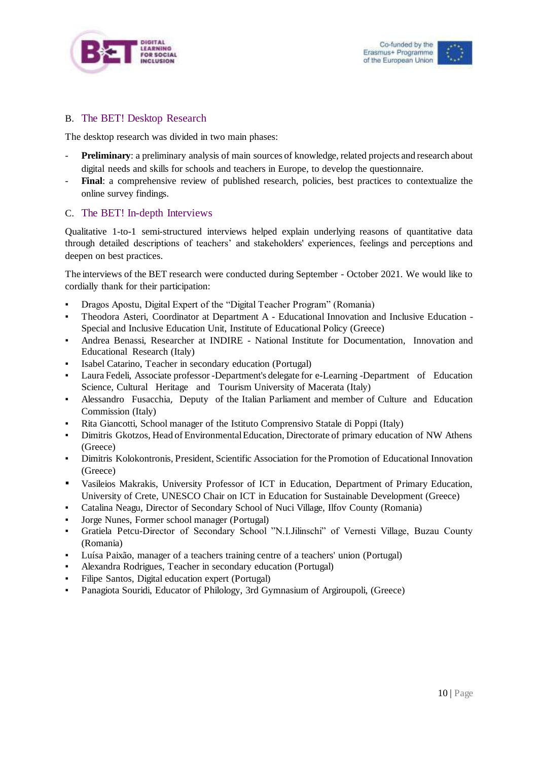

#### <span id="page-9-0"></span>B. The BET! Desktop Research

The desktop research was divided in two main phases:

- **Preliminary**: a preliminary analysis of main sources of knowledge, related projects and research about digital needs and skills for schools and teachers in Europe, to develop the questionnaire.
- **Final**: a comprehensive review of published research, policies, best practices to contextualize the online survey findings.

#### <span id="page-9-1"></span>C. The BET! In-depth Interviews

Qualitative 1-to-1 semi-structured interviews helped explain underlying reasons of quantitative data through detailed descriptions of teachers' and stakeholders' experiences, feelings and perceptions and deepen on best practices.

The interviews of the BET research were conducted during September - October 2021. We would like to cordially thank for their participation:

- Dragos Apostu, Digital Expert of the "Digital Teacher Program" (Romania)
- Theodora Asteri, Coordinator at Department A Educational Innovation and Inclusive Education -Special and Inclusive Education Unit, Institute of Educational Policy (Greece)
- Andrea Benassi, Researcher at INDIRE National Institute for Documentation, Innovation and Educational Research (Italy)
- Isabel Catarino, Teacher in secondary education (Portugal)
- Laura Fedeli, Associate professor -Department's delegate for e-Learning -Department of Education Science, Cultural Heritage and Tourism University of Macerata (Italy)
- Alessandro Fusacchia, Deputy of the Italian Parliament and member of Culture and Education Commission (Italy)
- Rita Giancotti, School manager of the Istituto Comprensivo Statale di Poppi (Italy)
- Dimitris Gkotzos, Head of Environmental Education, Directorate of primary education of NW Athens (Greece)
- Dimitris Kolokontronis, President, Scientific Association for the Promotion of Educational Innovation (Greece)
- Vasileios Makrakis, University Professor of ICT in Education, Department of Primary Education, University of Crete, UNESCO Chair on ICT in Education for Sustainable Development (Greece)
- Catalina Neagu, Director of Secondary School of Nuci Village, Ilfov County (Romania)
- Jorge Nunes, Former school manager (Portugal)
- Gratiela Petcu-Director of Secondary School "N.I.Jilinschi" of Vernesti Village, Buzau County (Romania)
- Luísa Paixão, manager of a teachers training centre of a teachers' union (Portugal)
- Alexandra Rodrigues, Teacher in secondary education (Portugal)
- Filipe Santos, Digital education expert (Portugal)
- Panagiota Souridi, Educator of Philology, 3rd Gymnasium of Argiroupoli, (Greece)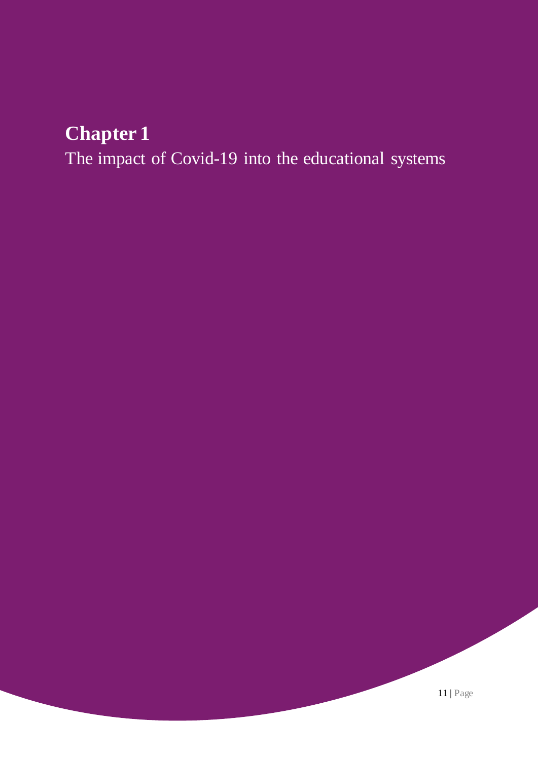# <span id="page-10-0"></span>**Chapter 1**

The impact of Covid-19 into the educational systems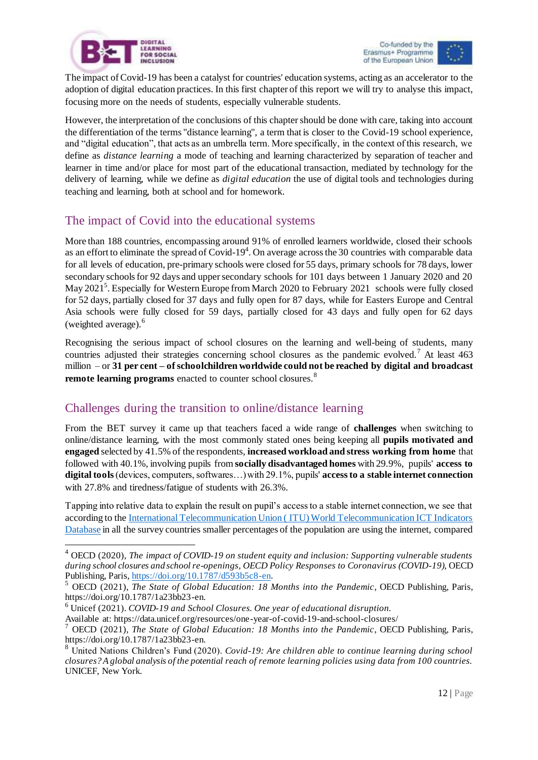

 $\overline{a}$ 

The impact of Covid-19 has been a catalyst for countries' education systems, acting as an accelerator to the adoption of digital education practices. In this first chapter of this report we will try to analyse this impact, focusing more on the needs of students, especially vulnerable students.

However, the interpretation of the conclusions of this chapter should be done with care, taking into account the differentiation of the terms "distance learning", a term that is closer to the Covid-19 school experience, and "digital education", that acts as an umbrella term. More specifically, in the context of this research, we define as *distance learning* a mode of teaching and learning characterized by separation of teacher and learner in time and/or place for most part of the educational transaction, mediated by technology for the delivery of learning, while we define as *digital education* the use of digital tools and technologies during teaching and learning, both at school and for homework.

#### <span id="page-11-0"></span>The impact of Covid into the educational systems

More than 188 countries, encompassing around 91% of enrolled learners worldwide, closed their schools as an effort to eliminate the spread of Covid-19<sup>4</sup>. On average across the 30 countries with comparable data for all levels of education, pre-primary schools were closed for 55 days, primary schools for 78 days, lower secondary schools for 92 days and upper secondary schools for 101 days between 1 January 2020 and 20 May 2021<sup>5</sup>. Especially for Western Europe from March 2020 to February 2021 schools were fully closed for 52 days, partially closed for 37 days and fully open for 87 days, while for Easters Europe and Central Asia schools were fully closed for 59 days, partially closed for 43 days and fully open for 62 days (weighted average). $<sup>6</sup>$ </sup>

Recognising the serious impact of school closures on the learning and well-being of students, many countries adjusted their strategies concerning school closures as the pandemic evolved.<sup>7</sup> At least  $463$ million – or **31 per cent – of schoolchildren worldwide could not be reached by digital and broadcast remote learning programs** enacted to counter school closures.<sup>8</sup>

#### <span id="page-11-1"></span>Challenges during the transition to online/distance learning

From the BET survey it came up that teachers faced a wide range of **challenges** when switching to online/distance learning, with the most commonly stated ones being keeping all **pupils motivated and engaged** selected by 41.5% of the respondents, **increased workload and stress working from home** that followed with 40.1%, involving pupils from **socially disadvantaged homes** with 29.9%, pupils' **access to digital tools**(devices, computers, softwares…) with 29.1%, pupils' **access to a stable internet connection** with 27.8% and tiredness/fatigue of students with 26.3%.

Tapping into relative data to explain the result on pupil's access to a stable internet connection, we see that according to the [International Telecommunication Union \( ITU\) World Telecommunication ICT Indicators](https://data.worldbank.org/indicator/IT.NET.USER.ZS?name_desc=false)  [Database](https://data.worldbank.org/indicator/IT.NET.USER.ZS?name_desc=false) in all the survey countries smaller percentages of the population are using the internet, compared

<sup>4</sup> OECD (2020), *The impact of COVID-19 on student equity and inclusion: Supporting vulnerable students during school closures and school re-openings, OECD Policy Responses to Coronavirus (COVID-19)*, OECD Publishing, Paris[, https://doi.org/10.1787/d593b5c8-e](https://doi.org/10.1787/d593b5c8-en)n.

<sup>5</sup> OECD (2021), *The State of Global Education: 18 Months into the Pandemic*, OECD Publishing, Paris, https://doi.org/10.1787/1a23bb23-en.

<sup>6</sup> Unicef (2021). *COVID-19 and School Closures. One year of educational disruption.*

Available at: https://data.unicef.org/resources/one-year-of-covid-19-and-school-closures/

<sup>7</sup> OECD (2021), *The State of Global Education: 18 Months into the Pandemic*, OECD Publishing, Paris, https://doi.org/10.1787/1a23bb23-en.

<sup>8</sup> United Nations Children's Fund (2020). *Covid-19: Are children able to continue learning during school closures? A global analysis of the potential reach of remote learning policies using data from 100 countries.* UNICEF, New York.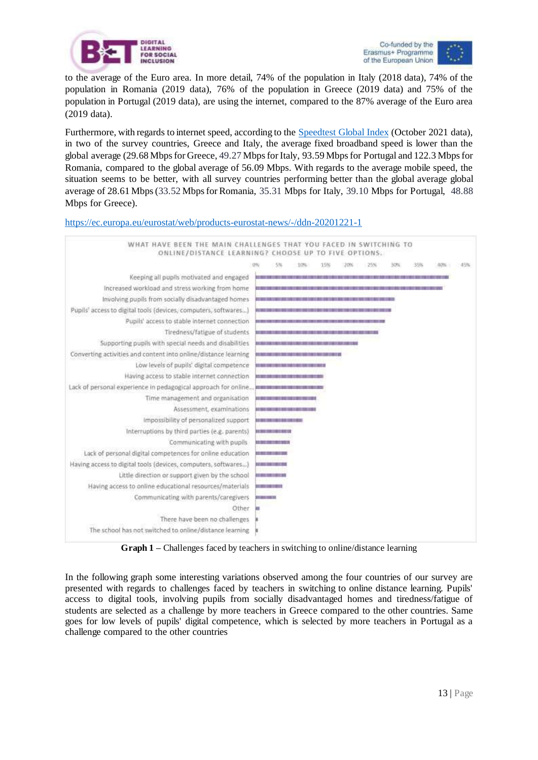



to the average of the Euro area. In more detail, 74% of the population in Italy (2018 data), 74% of the population in Romania (2019 data), 76% of the population in Greece (2019 data) and 75% of the population in Portugal (2019 data), are using the internet, compared to the 87% average of the Euro area (2019 data).

Furthermore, with regards to internet speed, according to the [Speedtest Global Index](https://www.speedtest.net/global-index) (October 2021 data), in two of the survey countries, Greece and Italy, the average fixed broadband speed is lower than the global average (29.68 Mbps for Greece, 49.27 Mbps for Italy, 93.59 Mbps for Portugal and 122.3 Mbps for Romania, compared to the global average of 56.09 Mbps. With regards to the average mobile speed, the situation seems to be better, with all survey countries performing better than the global average global average of 28.61 Mbps (33.52 Mbps for Romania, 35.31 Mbps for Italy, 39.10 Mbps for Portugal, 48.88 Mbps for Greece).

#### [https://ec.europa.eu/eurostat/web/products-eurostat-news/-/ddn-20201221-](https://ec.europa.eu/eurostat/web/products-eurostat-news/-/ddn-20201221-1)1



**Graph 1 –** Challenges faced by teachers in switching to online/distance learning

In the following graph some interesting variations observed among the four countries of our survey are presented with regards to challenges faced by teachers in switching to online distance learning. Pupils' access to digital tools, involving pupils from socially disadvantaged homes and tiredness/fatigue of students are selected as a challenge by more teachers in Greece compared to the other countries. Same goes for low levels of pupils' digital competence, which is selected by more teachers in Portugal as a challenge compared to the other countries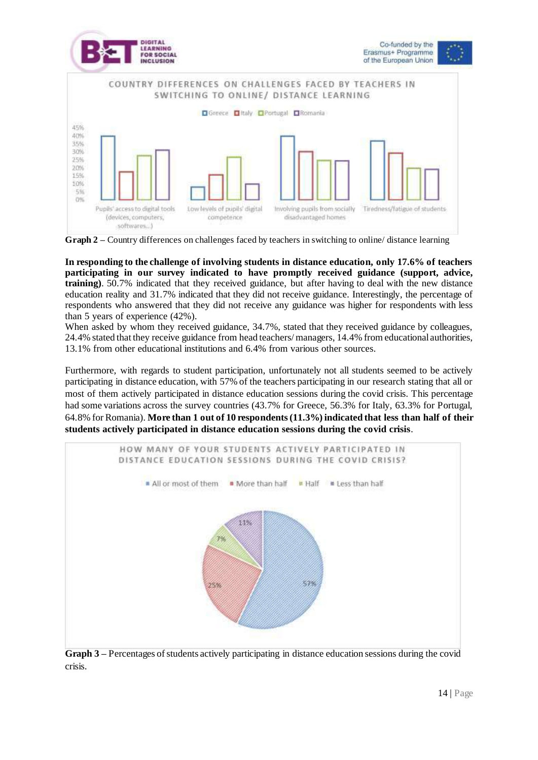



**Graph 2 –** Country differences on challenges faced by teachers in switching to online/ distance learning

**In responding to the challenge of involving students in distance education, only 17.6% of teachers participating in our survey indicated to have promptly received guidance (support, advice, training)**. 50.7% indicated that they received guidance, but after having to deal with the new distance education reality and 31.7% indicated that they did not receive guidance. Interestingly, the percentage of respondents who answered that they did not receive any guidance was higher for respondents with less than 5 years of experience (42%).

When asked by whom they received guidance, 34.7%, stated that they received guidance by colleagues, 24.4% stated that they receive guidance from head teachers/ managers, 14.4% from educational authorities, 13.1% from other educational institutions and 6.4% from various other sources.

Furthermore, with regards to student participation, unfortunately not all students seemed to be actively participating in distance education, with 57% of the teachers participating in our research stating that all or most of them actively participated in distance education sessions during the covid crisis. This percentage had some variations across the survey countries (43.7% for Greece, 56.3% for Italy, 63.3% for Portugal, 64.8% for Romania). **More than 1 out of 10 respondents (11.3%) indicated that less than half of their students actively participated in distance education sessions during the covid crisis**.



**Graph 3 –** Percentages of students actively participating in distance education sessions during the covid crisis.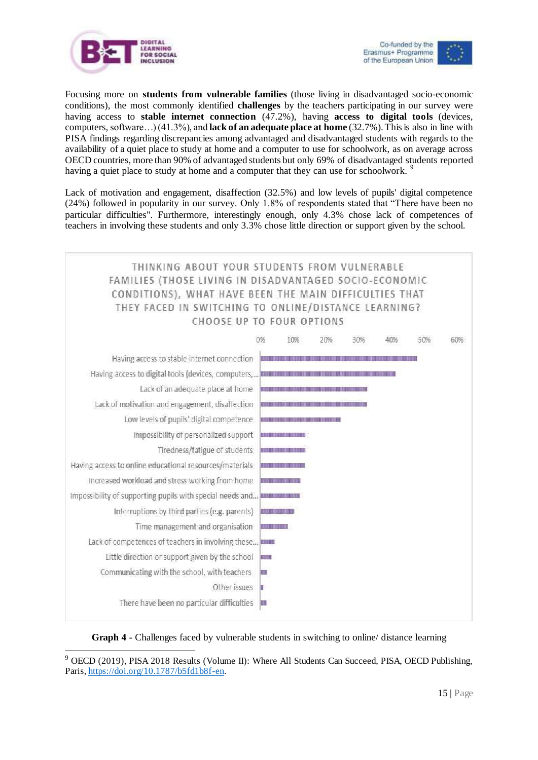

 $\overline{a}$ 



Focusing more on **students from vulnerable families** (those living in disadvantaged socio-economic conditions), the most commonly identified **challenges** by the teachers participating in our survey were having access to **stable internet connection** (47.2%), having **access to digital tools** (devices, computers, software…) (41.3%), and **lack of an adequate place at home** (32.7%). This is also in line with PISA findings regarding discrepancies among advantaged and disadvantaged students with regards to the availability of a quiet place to study at home and a computer to use for schoolwork, as on average across OECD countries, more than 90% of advantaged students but only 69% of disadvantaged students reported having a quiet place to study at home and a computer that they can use for schoolwork.<sup>9</sup>

Lack of motivation and engagement, disaffection (32.5%) and low levels of pupils' digital competence (24%) followed in popularity in our survey. Only 1.8% of respondents stated that "There have been no particular difficulties". Furthermore, interestingly enough, only 4.3% chose lack of competences of teachers in involving these students and only 3.3% chose little direction or support given by the school.



**Graph 4 -** Challenges faced by vulnerable students in switching to online/ distance learning

 $9^9$  OECD (2019), PISA 2018 Results (Volume II): Where All Students Can Succeed, PISA, OECD Publishing, Paris[, https://doi.org/10.1787/b5fd1b8f-e](https://doi.org/10.1787/b5fd1b8f-en)n.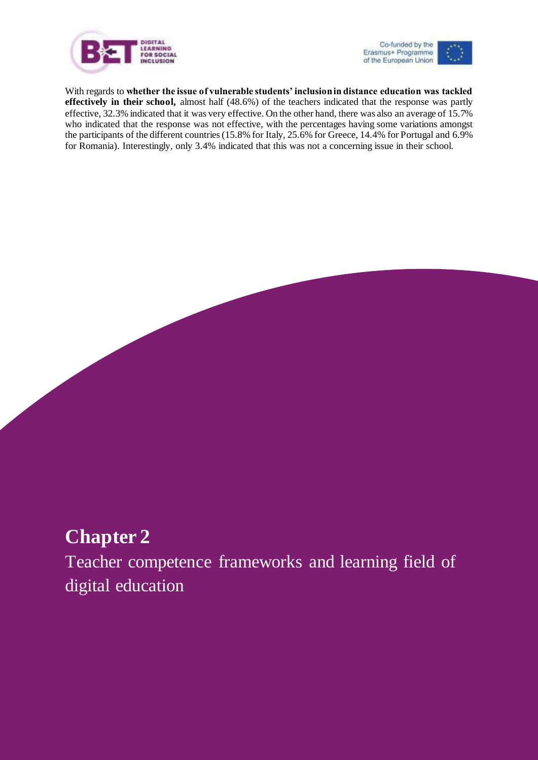



With regards to **whether the issue of vulnerable students' inclusion in distance education was tackled effectively in their school,** almost half (48.6%) of the teachers indicated that the response was partly effective, 32.3% indicated that it was very effective. On the other hand, there was also an average of 15.7% who indicated that the response was not effective, with the percentages having some variations amongst the participants of the different countries (15.8% for Italy, 25.6% for Greece, 14.4% for Portugal and 6.9% for Romania). Interestingly, only 3.4% indicated that this was not a concerning issue in their school.

### <span id="page-15-0"></span>**Chapter 2**

Teacher competence frameworks and learning field of digital education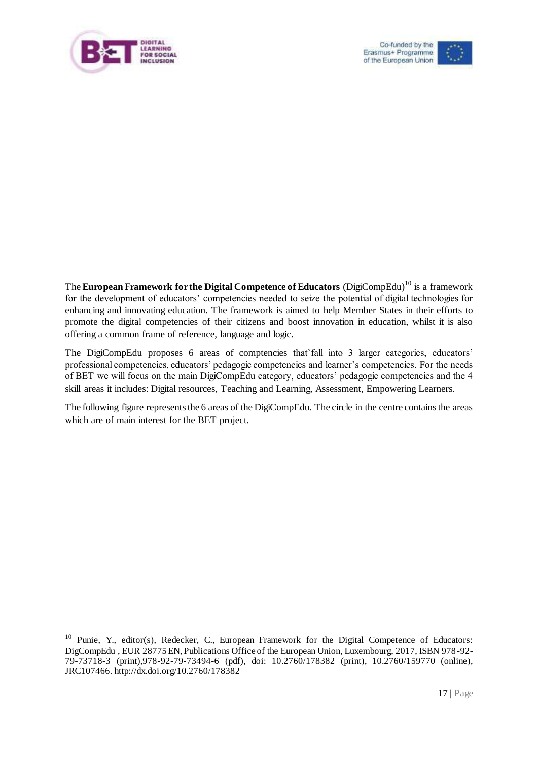

 $\overline{a}$ 



The **European Framework for the Digital Competence of Educators** (DigiCompEdu)<sup>10</sup> is a framework for the development of educators' competencies needed to seize the potential of digital technologies for enhancing and innovating education. The framework is aimed to help Member States in their efforts to promote the digital competencies of their citizens and boost innovation in education, whilst it is also offering a common frame of reference, language and logic.

The DigiCompEdu proposes 6 areas of comptencies that fall into 3 larger categories, educators' professional competencies, educators' pedagogic competencies and learner's competencies. For the needs of BET we will focus on the main DigiCompEdu category, educators' pedagogic competencies and the 4 skill areas it includes: Digital resources, Teaching and Learning, Assessment, Empowering Learners.

The following figure represents the 6 areas of the DigiCompEdu. The circle in the centre contains the areas which are of main interest for the BET project.

 $10$  Punie, Y., editor(s), Redecker, C., European Framework for the Digital Competence of Educators: DigCompEdu , EUR 28775 EN, Publications Office of the European Union, Luxembourg, 2017, ISBN 978-92- 79-73718-3 (print),978-92-79-73494-6 (pdf), doi: 10.2760/178382 (print), 10.2760/159770 (online), JRC107466. http://dx.doi.org/10.2760/178382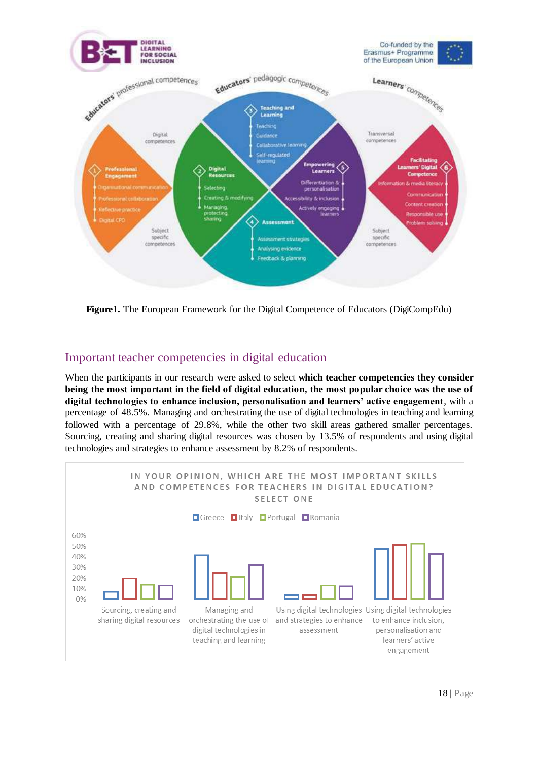

**Figure1.** The European Framework for the Digital Competence of Educators (DigiCompEdu)

#### <span id="page-17-0"></span>Important teacher competencies in digital education

When the participants in our research were asked to select **which teacher competencies they consider being the most important in the field of digital education, the most popular choice was the use of digital technologies to enhance inclusion, personalisation and learners' active engagement**, with a percentage of 48.5%. Managing and orchestrating the use of digital technologies in teaching and learning followed with a percentage of 29.8%, while the other two skill areas gathered smaller percentages. Sourcing, creating and sharing digital resources was chosen by 13.5% of respondents and using digital technologies and strategies to enhance assessment by 8.2% of respondents.

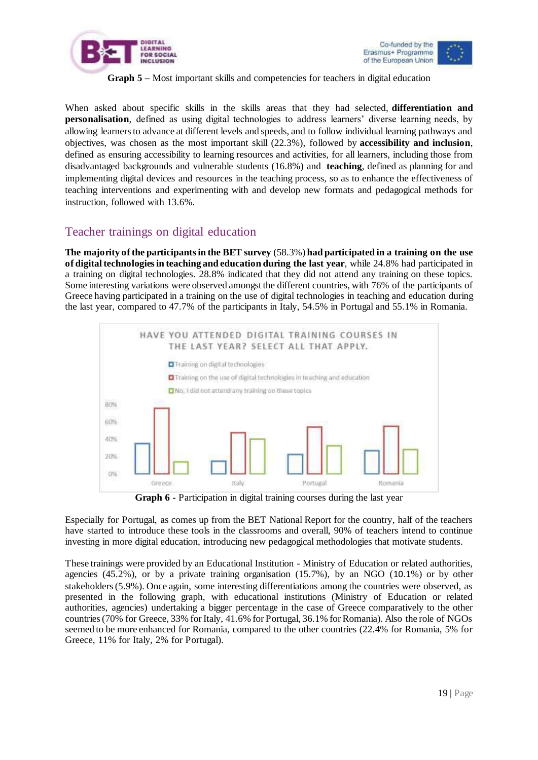



**Graph 5 –** Most important skills and competencies for teachers in digital education

When asked about specific skills in the skills areas that they had selected, **differentiation and personalisation**, defined as using digital technologies to address learners' diverse learning needs, by allowing learners to advance at different levels and speeds, and to follow individual learning pathways and objectives, was chosen as the most important skill (22.3%), followed by **accessibility and inclusion**, defined as ensuring accessibility to learning resources and activities, for all learners, including those from disadvantaged backgrounds and vulnerable students (16.8%) and **teaching**, defined as planning for and implementing digital devices and resources in the teaching process, so as to enhance the effectiveness of teaching interventions and experimenting with and develop new formats and pedagogical methods for instruction, followed with 13.6%.

#### <span id="page-18-0"></span>Teacher trainings on digital education

**The majority of the participants in the BET survey** (58.3%) **had participated in a training on the use of digital technologies in teaching and education during the last year**, while 24.8% had participated in a training on digital technologies. 28.8% indicated that they did not attend any training on these topics. Some interesting variations were observed amongst the different countries, with 76% of the participants of Greece having participated in a training on the use of digital technologies in teaching and education during the last year, compared to 47.7% of the participants in Italy, 54.5% in Portugal and 55.1% in Romania.



**Graph 6 -** Participation in digital training courses during the last year

Especially for Portugal, as comes up from the BET National Report for the country, half of the teachers have started to introduce these tools in the classrooms and overall, 90% of teachers intend to continue investing in more digital education, introducing new pedagogical methodologies that motivate students.

These trainings were provided by an Educational Institution - Ministry of Education or related authorities, agencies (45.2%), or by a private training organisation (15.7%), by an NGO (10.1%) or by other stakeholders (5.9%). Once again, some interesting differentiations among the countries were observed, as presented in the following graph, with educational institutions (Ministry of Education or related authorities, agencies) undertaking a bigger percentage in the case of Greece comparatively to the other countries (70% for Greece, 33% for Italy, 41.6% for Portugal, 36.1% for Romania). Also the role of NGOs seemed to be more enhanced for Romania, compared to the other countries (22.4% for Romania, 5% for Greece, 11% for Italy, 2% for Portugal).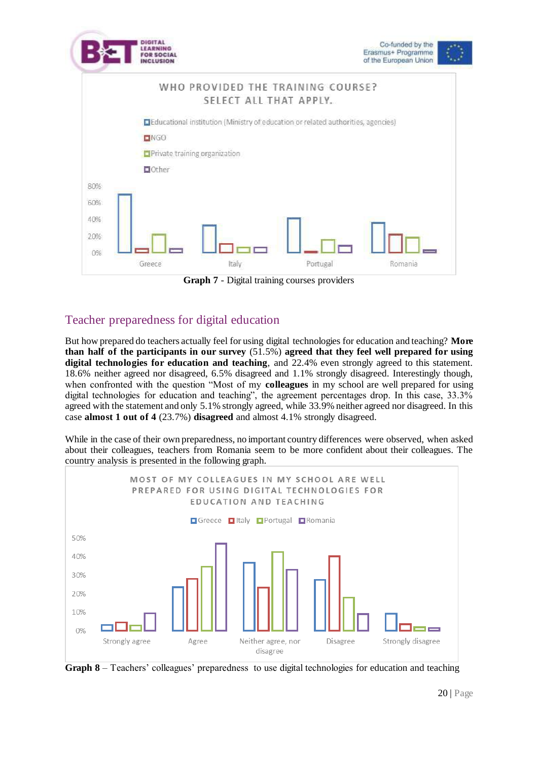



**Graph 7** - Digital training courses providers

### <span id="page-19-0"></span>Teacher preparedness for digital education

But how prepared do teachers actually feel for using digital technologies for education and teaching? **More than half of the participants in our survey** (51.5%) **agreed that they feel well prepared for using digital technologies for education and teaching**, and 22.4% even strongly agreed to this statement. 18.6% neither agreed nor disagreed, 6.5% disagreed and 1.1% strongly disagreed. Interestingly though, when confronted with the question "Most of my **colleagues** in my school are well prepared for using digital technologies for education and teaching", the agreement percentages drop. In this case, 33.3% agreed with the statement and only 5.1% strongly agreed, while 33.9% neither agreed nor disagreed. In this case **almost 1 out of 4** (23.7%) **disagreed** and almost 4.1% strongly disagreed.

While in the case of their own preparedness, no important country differences were observed, when asked about their colleagues, teachers from Romania seem to be more confident about their colleagues. The country analysis is presented in the following graph.



**Graph 8** – Teachers' colleagues' preparedness to use digital technologies for education and teaching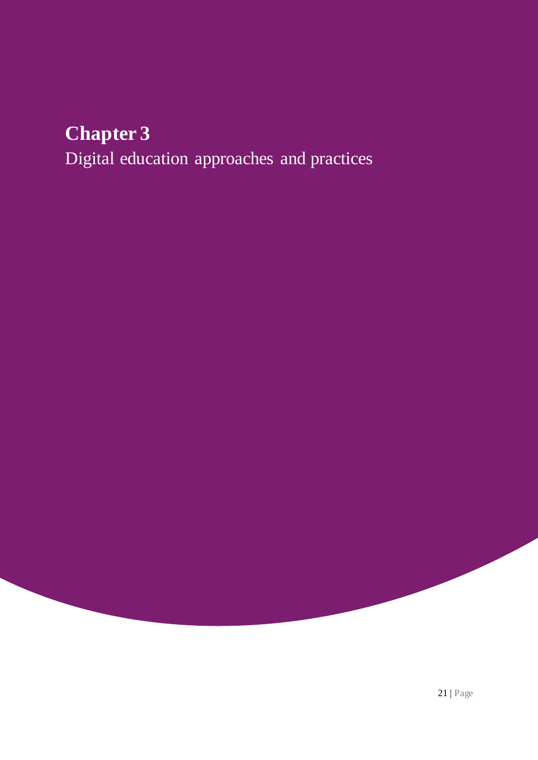# <span id="page-20-0"></span>**Chapter 3**

<span id="page-20-1"></span>Digital education approaches and practices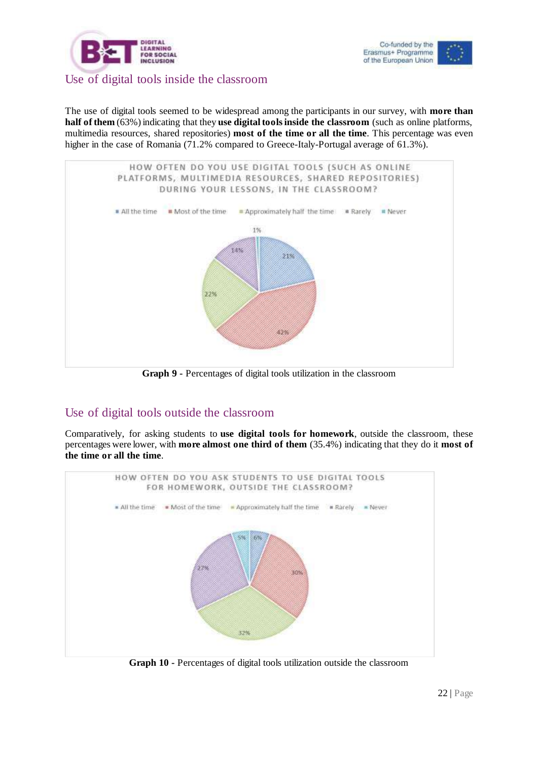



#### Use of digital tools inside the classroom

The use of digital tools seemed to be widespread among the participants in our survey, with **more than half of them** (63%) indicating that they **use digital tools inside the classroom** (such as online platforms, multimedia resources, shared repositories) **most of the time or all the time**. This percentage was even higher in the case of Romania (71.2% compared to Greece-Italy-Portugal average of 61.3%).



**Graph 9 -** Percentages of digital tools utilization in the classroom

#### <span id="page-21-0"></span>Use of digital tools outside the classroom

Comparatively, for asking students to **use digital tools for homework**, outside the classroom, these percentages were lower, with **more almost one third of them** (35.4%) indicating that they do it **most of the time or all the time**.

![](_page_21_Figure_8.jpeg)

**Graph 10 -** Percentages of digital tools utilization outside the classroom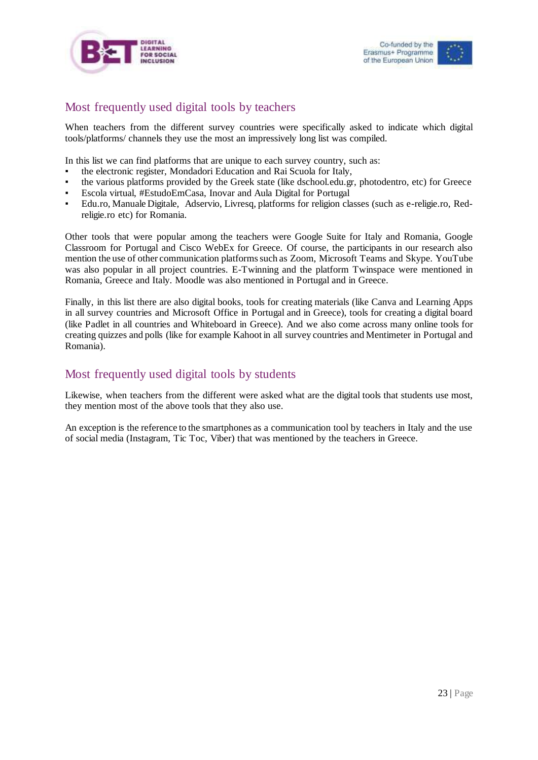![](_page_22_Picture_0.jpeg)

![](_page_22_Picture_1.jpeg)

#### <span id="page-22-0"></span>Most frequently used digital tools by teachers

When teachers from the different survey countries were specifically asked to indicate which digital tools/platforms/ channels they use the most an impressively long list was compiled.

In this list we can find platforms that are unique to each survey country, such as:

- the electronic register, Mondadori Education and Rai Scuola for Italy,
- the various platforms provided by the Greek state (like dschool.edu.gr, photodentro, etc) for Greece
- Escola virtual, #EstudoEmCasa, Inovar and Aula Digital for Portugal
- Edu.ro, Manuale Digitale, Adservio, Livresq, platforms for religion classes (such as e-religie.ro, Redreligie.ro etc) for Romania.

Other tools that were popular among the teachers were Google Suite for Italy and Romania, Google Classroom for Portugal and Cisco WebEx for Greece. Of course, the participants in our research also mention the use of other communication platforms such as Zoom, Microsoft Teams and Skype. YouTube was also popular in all project countries. E-Twinning and the platform Twinspace were mentioned in Romania, Greece and Italy. Moodle was also mentioned in Portugal and in Greece.

Finally, in this list there are also digital books, tools for creating materials (like Canva and Learning Apps in all survey countries and Microsoft Office in Portugal and in Greece), tools for creating a digital board (like Padlet in all countries and Whiteboard in Greece). And we also come across many online tools for creating quizzes and polls (like for example Kahoot in all survey countries and Mentimeter in Portugal and Romania).

#### <span id="page-22-1"></span>Most frequently used digital tools by students

Likewise, when teachers from the different were asked what are the digital tools that students use most, they mention most of the above tools that they also use.

An exception is the reference to the smartphones as a communication tool by teachers in Italy and the use of social media (Instagram, Tic Toc, Viber) that was mentioned by the teachers in Greece.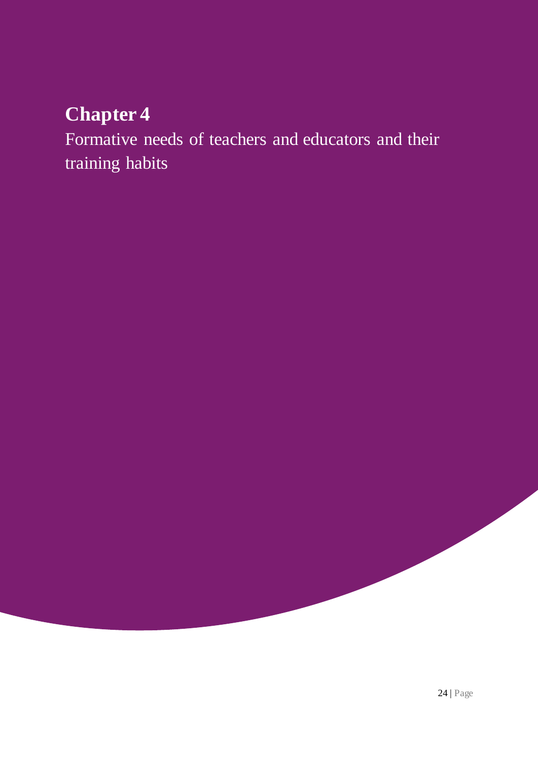# <span id="page-23-0"></span>**Chapter 4**

<span id="page-23-1"></span>Formative needs of teachers and educators and their training habits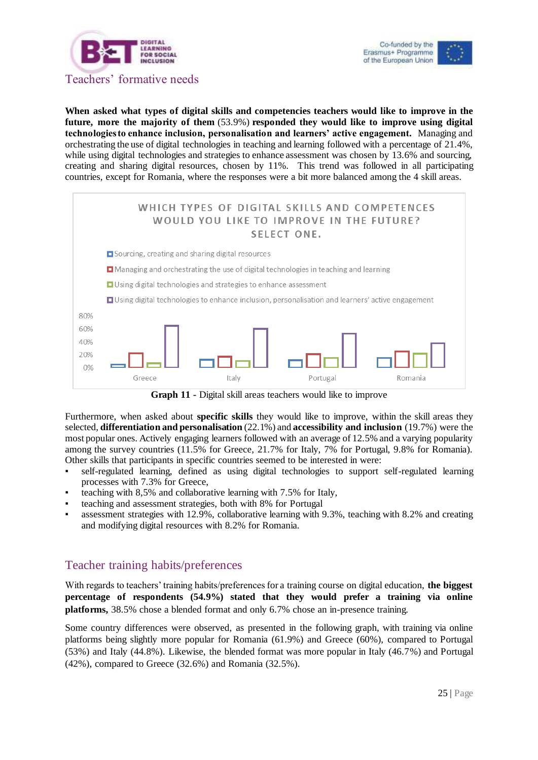![](_page_24_Picture_0.jpeg)

![](_page_24_Picture_1.jpeg)

**When asked what types of digital skills and competencies teachers would like to improve in the future, more the majority of them** (53.9%) **responded they would like to improve using digital technologies to enhance inclusion, personalisation and learners' active engagement.** Managing and orchestrating the use of digital technologies in teaching and learning followed with a percentage of 21.4%, while using digital technologies and strategies to enhance assessment was chosen by 13.6% and sourcing, creating and sharing digital resources, chosen by 11%. This trend was followed in all participating countries, except for Romania, where the responses were a bit more balanced among the 4 skill areas.

![](_page_24_Figure_3.jpeg)

**Graph 11 -** Digital skill areas teachers would like to improve

Furthermore, when asked about **specific skills** they would like to improve, within the skill areas they selected, **differentiation and personalisation** (22.1%) and **accessibility and inclusion** (19.7%) were the most popular ones. Actively engaging learners followed with an average of 12.5% and a varying popularity among the survey countries (11.5% for Greece, 21.7% for Italy, 7% for Portugal, 9.8% for Romania). Other skills that participants in specific countries seemed to be interested in were:

- self-regulated learning, defined as using digital technologies to support self-regulated learning processes with 7.3% for Greece,
- teaching with 8,5% and collaborative learning with 7.5% for Italy,
- teaching and assessment strategies, both with 8% for Portugal
- assessment strategies with 12.9%, collaborative learning with 9.3%, teaching with 8.2% and creating and modifying digital resources with 8.2% for Romania.

#### <span id="page-24-0"></span>Teacher training habits/preferences

With regards to teachers' training habits/preferences for a training course on digital education, **the biggest percentage of respondents (54.9%) stated that they would prefer a training via online platforms,** 38.5% chose a blended format and only 6.7% chose an in-presence training.

Some country differences were observed, as presented in the following graph, with training via online platforms being slightly more popular for Romania (61.9%) and Greece (60%), compared to Portugal (53%) and Italy (44.8%). Likewise, the blended format was more popular in Italy (46.7%) and Portugal (42%), compared to Greece (32.6%) and Romania (32.5%).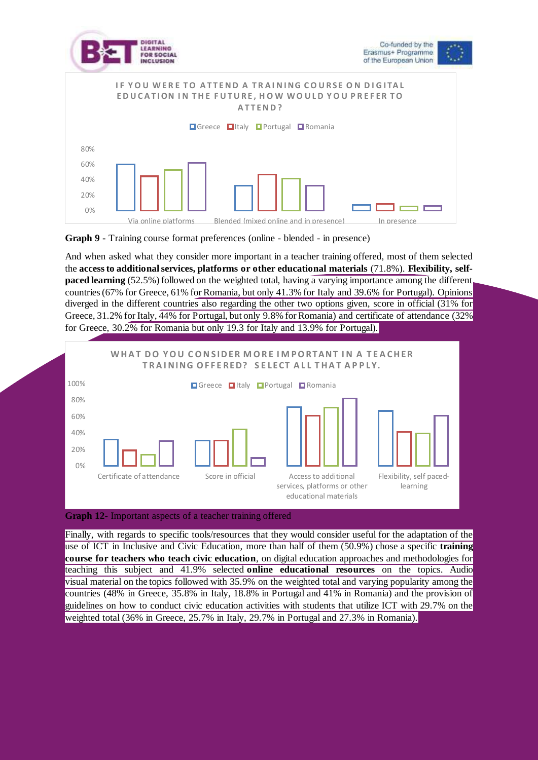![](_page_25_Picture_0.jpeg)

![](_page_25_Figure_2.jpeg)

**Graph 9 -** Training course format preferences (online - blended - in presence)

And when asked what they consider more important in a teacher training offered, most of them selected the **access to additional services, platforms or other educational materials** (71.8%). **Flexibility, selfpaced learning** (52.5%) followed on the weighted total, having a varying importance among the different countries (67% for Greece, 61% for Romania, but only 41.3% for Italy and 39.6% for Portugal). Opinions diverged in the different countries also regarding the other two options given, score in official (31% for Greece, 31.2% for Italy, 44% for Portugal, but only 9.8% for Romania) and certificate of attendance (32% for Greece, 30.2% for Romania but only 19.3 for Italy and 13.9% for Portugal).

![](_page_25_Figure_5.jpeg)

**Graph 12**- Important aspects of a teacher training offered

Finally, with regards to specific tools/resources that they would consider useful for the adaptation of the use of ICT in Inclusive and Civic Education, more than half of them (50.9%) chose a specific **training course for teachers who teach civic education**, on digital education approaches and methodologies for teaching this subject and 41.9% selected **online educational resources** on the topics. Audio visual material on the topics followed with 35.9% on the weighted total and varying popularity among the countries (48% in Greece, 35.8% in Italy, 18.8% in Portugal and 41% in Romania) and the provision of guidelines on how to conduct civic education activities with students that utilize ICT with 29.7% on the weighted total (36% in Greece, 25.7% in Italy, 29.7% in Portugal and 27.3% in Romania).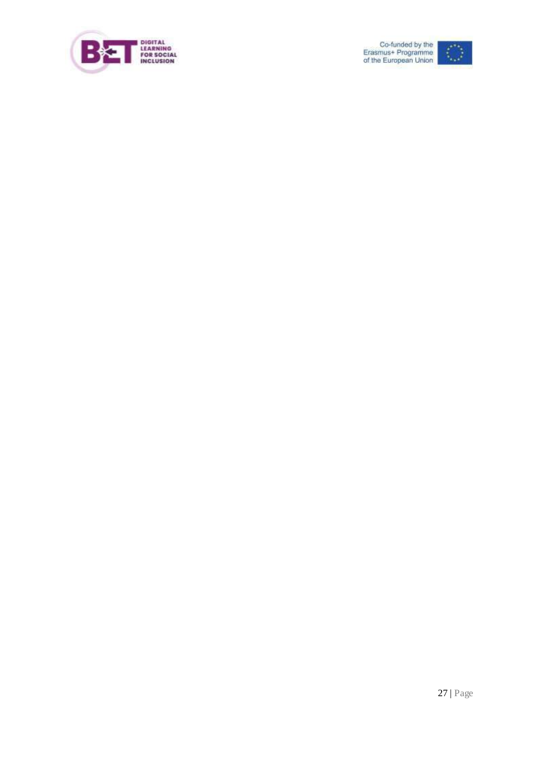<span id="page-26-0"></span>![](_page_26_Picture_0.jpeg)

![](_page_26_Picture_1.jpeg)

![](_page_26_Picture_2.jpeg)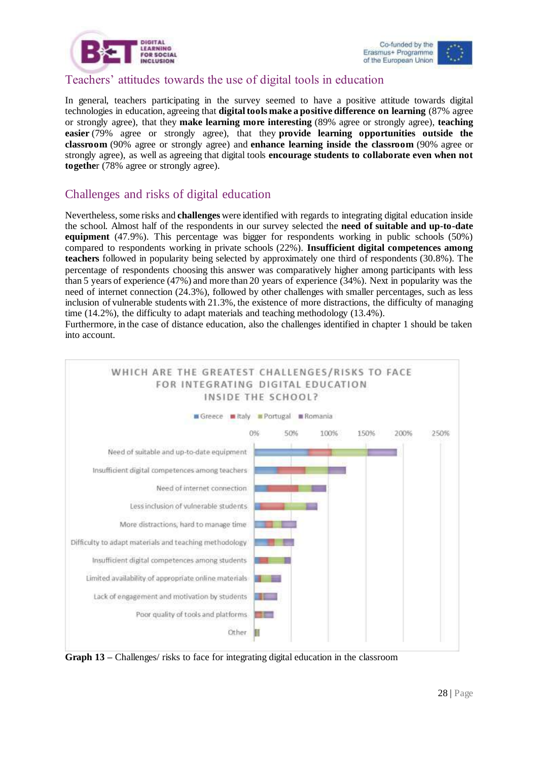![](_page_27_Picture_0.jpeg)

![](_page_27_Picture_1.jpeg)

#### <span id="page-27-0"></span>Teachers' attitudes towards the use of digital tools in education

In general, teachers participating in the survey seemed to have a positive attitude towards digital technologies in education, agreeing that **digital tools make a positive difference on learning** (87% agree or strongly agree), that they **make learning more interesting** (89% agree or strongly agree), **teaching easier** (79% agree or strongly agree), that they **provide learning opportunities outside the classroom** (90% agree or strongly agree) and **enhance learning inside the classroom** (90% agree or strongly agree), as well as agreeing that digital tools **encourage students to collaborate even when not togethe**r (78% agree or strongly agree).

#### <span id="page-27-1"></span>Challenges and risks of digital education

Nevertheless, some risks and **challenges** were identified with regards to integrating digital education inside the school. Almost half of the respondents in our survey selected the **need of suitable and up-to-date equipment** (47.9%). This percentage was bigger for respondents working in public schools (50%) compared to respondents working in private schools (22%). **Insufficient digital competences among teachers** followed in popularity being selected by approximately one third of respondents (30.8%). The percentage of respondents choosing this answer was comparatively higher among participants with less than 5 years of experience (47%) and more than 20 years of experience (34%). Next in popularity was the need of internet connection (24.3%), followed by other challenges with smaller percentages, such as less inclusion of vulnerable students with 21.3%, the existence of more distractions, the difficulty of managing time (14.2%), the difficulty to adapt materials and teaching methodology (13.4%).

Furthermore, in the case of distance education, also the challenges identified in chapter 1 should be taken into account.

![](_page_27_Figure_7.jpeg)

**Graph 13 –** Challenges/ risks to face for integrating digital education in the classroom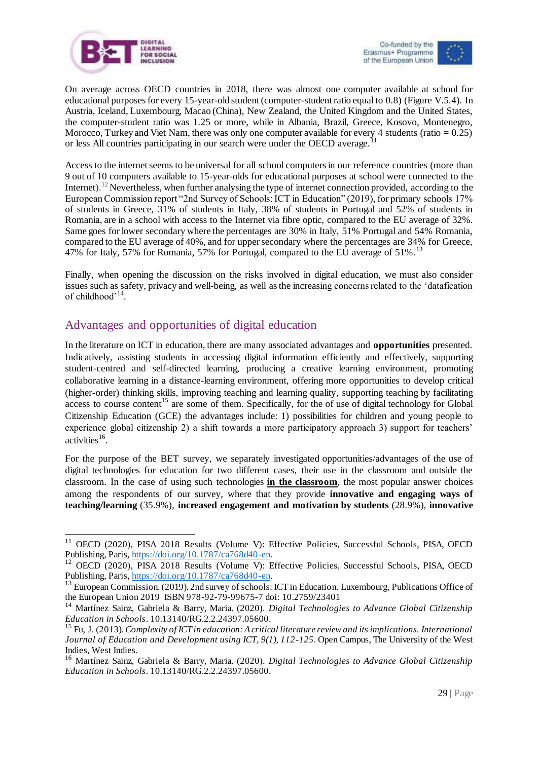![](_page_28_Picture_0.jpeg)

 $\overline{a}$ 

On average across OECD countries in 2018, there was almost one computer available at school for educational purposes for every 15-year-old student (computer-student ratio equal to 0.8) [\(Figure V.5.4\)](https://www.oecd-ilibrary.org/sites/2a420765-en/index.html?itemId=/content/component/2a420765-en#fig-V.5.4). In Austria, Iceland, Luxembourg, Macao (China), New Zealand, the United Kingdom and the United States, the computer-student ratio was 1.25 or more, while in Albania, Brazil, Greece, Kosovo, Montenegro, Morocco, Turkey and Viet Nam, there was only one computer available for every 4 students (ratio =  $0.25$ ) or less All countries participating in our search were under the OECD average.<sup>11</sup>

Access to the internet seems to be universal for all school computers in our reference countries (more than 9 out of 10 computers available to 15-year-olds for educational purposes at school were connected to the Internet).<sup>12</sup> Nevertheless, when further analysing the type of internet connection provided, according to the European Commission report "2nd Survey of Schools: ICT in Education" (2019), for primary schools 17% of students in Greece, 31% of students in Italy, 38% of students in Portugal and 52% of students in Romania, are in a school with access to the Internet via fibre optic, compared to the EU average of 32%. Same goes for lower secondary where the percentages are 30% in Italy, 51% Portugal and 54% Romania, compared to the EU average of 40%, and for upper secondary where the percentages are 34% for Greece, 47% for Italy, 57% for Romania, 57% for Portugal, compared to the EU average of 51%.<sup>13</sup>

Finally, when opening the discussion on the risks involved in digital education, we must also consider issues such as safety, privacy and well-being, as well as the increasing concerns related to the 'datafication of childhood'<sup>14</sup>.

#### <span id="page-28-0"></span>Advantages and opportunities of digital education

In the literature on ICT in education, there are many associated advantages and **opportunities** presented. Indicatively, assisting students in accessing digital information efficiently and effectively, supporting student-centred and self-directed learning, producing a creative learning environment, promoting collaborative learning in a distance-learning environment, offering more opportunities to develop critical (higher-order) thinking skills, improving teaching and learning quality, supporting teaching by facilitating access to course content<sup>15</sup> are some of them. Specifically, for the of use of digital technology for Global Citizenship Education (GCE) the advantages include: 1) possibilities for children and young people to experience global citizenship 2) a shift towards a more participatory approach 3) support for teachers' activities<sup>16</sup>.

For the purpose of the BET survey, we separately investigated opportunities/advantages of the use of digital technologies for education for two different cases, their use in the classroom and outside the classroom. In the case of using such technologies **in the classroom**, the most popular answer choices among the respondents of our survey, where that they provide **innovative and engaging ways of teaching/learning** (35.9%), **increased engagement and motivation by students** (28.9%), **innovative** 

<sup>&</sup>lt;sup>11</sup> OECD (2020), PISA 2018 Results (Volume V): Effective Policies, Successful Schools, PISA, OECD Publishing, Paris[, https://doi.org/10.1787/ca768d40-e](https://doi.org/10.1787/ca768d40-en)n.

<sup>&</sup>lt;sup>12</sup> OECD (2020), PISA 2018 Results (Volume V): Effective Policies, Successful Schools, PISA, OECD Publishing, Paris[, https://doi.org/10.1787/ca768d40-e](https://doi.org/10.1787/ca768d40-en)n.

<sup>&</sup>lt;sup>13</sup> European Commission. (2019). 2nd survey of schools: ICT in Education. Luxembourg, Publications Office of the European Union 2019 ISBN 978-92-79-99675-7 doi: 10.2759/23401

<sup>14</sup> Martínez Sainz, Gabriela & Barry, Maria. (2020). *Digital Technologies to Advance Global Citizenship Education in Schools*. 10.13140/RG.2.2.24397.05600.

<sup>15</sup> Fu, J. (2013). *Complexity of ICT in education: A critical literature review and its implications. International Journal of Education and Development using ICT, 9(1), 112-125*. Open Campus, The University of the West Indies, West Indies.

<sup>16</sup> Martínez Sainz, Gabriela & Barry, Maria. (2020). *Digital Technologies to Advance Global Citizenship Education in Schools*. 10.13140/RG.2.2.24397.05600.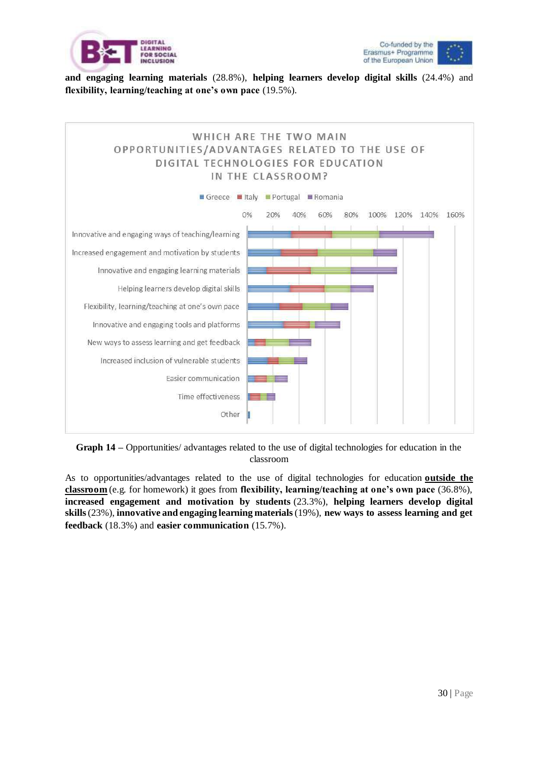![](_page_29_Picture_0.jpeg)

![](_page_29_Picture_1.jpeg)

**and engaging learning materials** (28.8%), **helping learners develop digital skills** (24.4%) and **flexibility, learning/teaching at one's own pace** (19.5%).

![](_page_29_Figure_3.jpeg)

**Graph 14 –** Opportunities/ advantages related to the use of digital technologies for education in the classroom

As to opportunities/advantages related to the use of digital technologies for education **outside the classroom** (e.g. for homework) it goes from **flexibility, learning/teaching at one's own pace** (36.8%), **increased engagement and motivation by students** (23.3%), **helping learners develop digital skills**(23%), **innovative and engaging learning materials**(19%), **new ways to assess learning and get feedback** (18.3%) and **easier communication** (15.7%).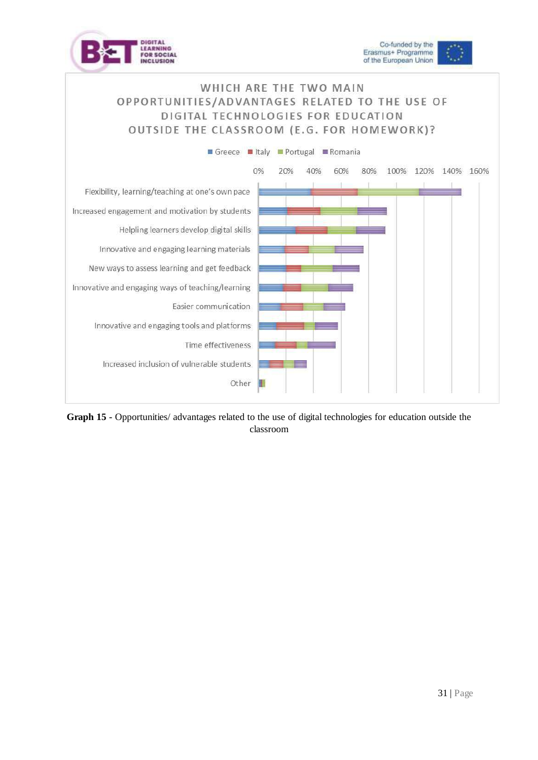![](_page_30_Picture_0.jpeg)

![](_page_30_Picture_1.jpeg)

#### WHICH ARE THE TWO MAIN OPPORTUNITIES/ADVANTAGES RELATED TO THE USE OF DIGITAL TECHNOLOGIES FOR EDUCATION OUTSIDE THE CLASSROOM (E.G. FOR HOMEWORK)?

![](_page_30_Figure_3.jpeg)

**Graph 15 -** Opportunities/ advantages related to the use of digital technologies for education outside the classroom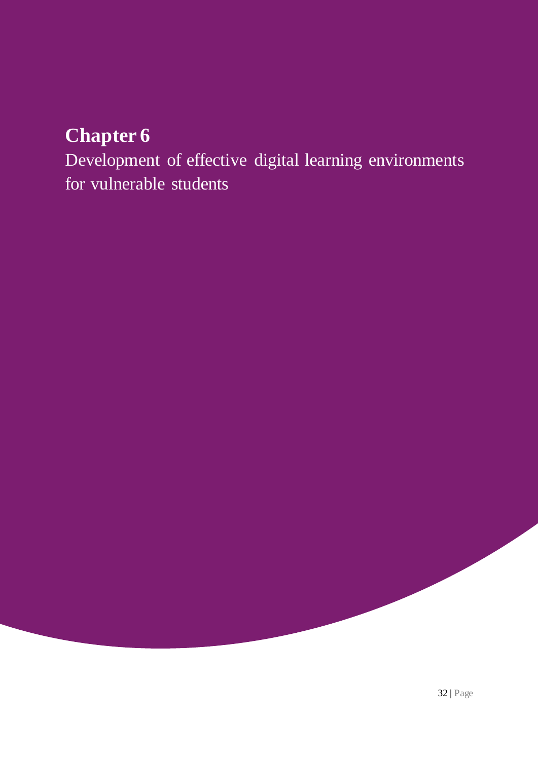## <span id="page-31-0"></span>**Chapter 6**

Development of effective digital learning environments for vulnerable students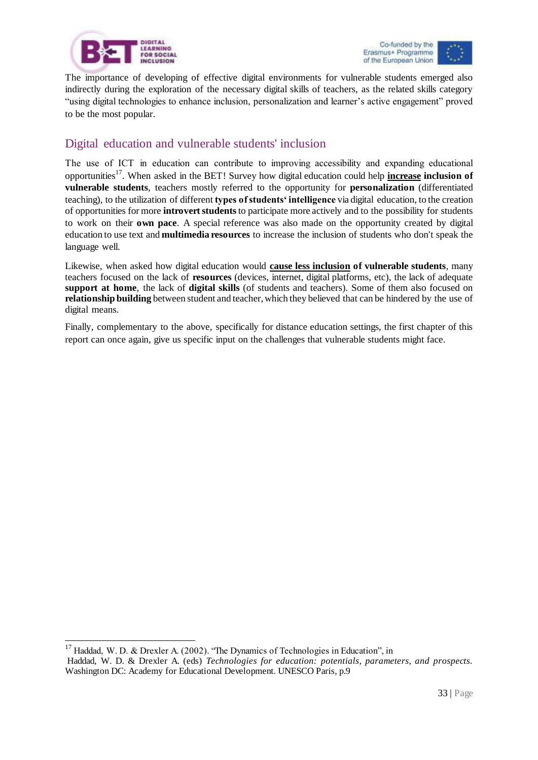![](_page_32_Picture_0.jpeg)

The importance of developing of effective digital environments for vulnerable students emerged also indirectly during the exploration of the necessary digital skills of teachers, as the related skills category "using digital technologies to enhance inclusion, personalization and learner's active engagement" proved to be the most popular.

#### <span id="page-32-0"></span>Digital education and vulnerable students' inclusion

Τhe use of ICT in education can contribute to improving accessibility and expanding educational opportunities<sup>17</sup>. When asked in the BET! Survey how digital education could help *increase* inclusion of **vulnerable students**, teachers mostly referred to the opportunity for **personalization** (differentiated teaching), to the utilization of different **types of students' intelligence** via digital education, to the creation of opportunities for more **introvert students**to participate more actively and to the possibility for students to work on their **own pace**. A special reference was also made on the opportunity created by digital education to use text and **multimedia resources** to increase the inclusion of students who don't speak the language well.

Likewise, when asked how digital education would **cause less inclusion of vulnerable students**, many teachers focused on the lack of **resources** (devices, internet, digital platforms, etc), the lack of adequate **support at home**, the lack of **digital skills** (of students and teachers). Some of them also focused on **relationship building** between student and teacher, which they believed that can be hindered by the use of digital means.

Finally, complementary to the above, specifically for distance education settings, the first chapter of this report can once again, give us specific input on the challenges that vulnerable students might face.

 $\overline{a}$ 

 $17$  Haddad, W. D. & Drexler A. (2002). "The Dynamics of Technologies in Education", in

Haddad, W. D. & Drexler A. (eds) *Technologies for education: potentials, parameters, and prospects.* Washington DC: Academy for Educational Development. UNESCO Paris, p.9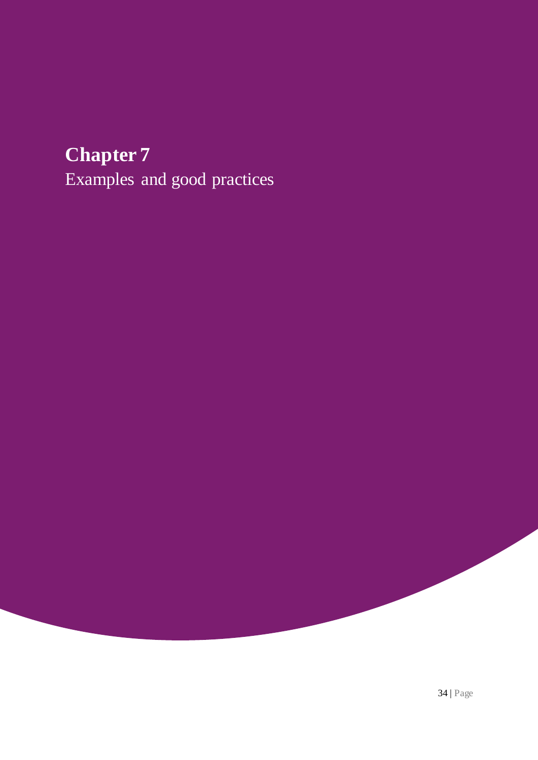# <span id="page-33-0"></span>**Chapter 7**

Examples and good practices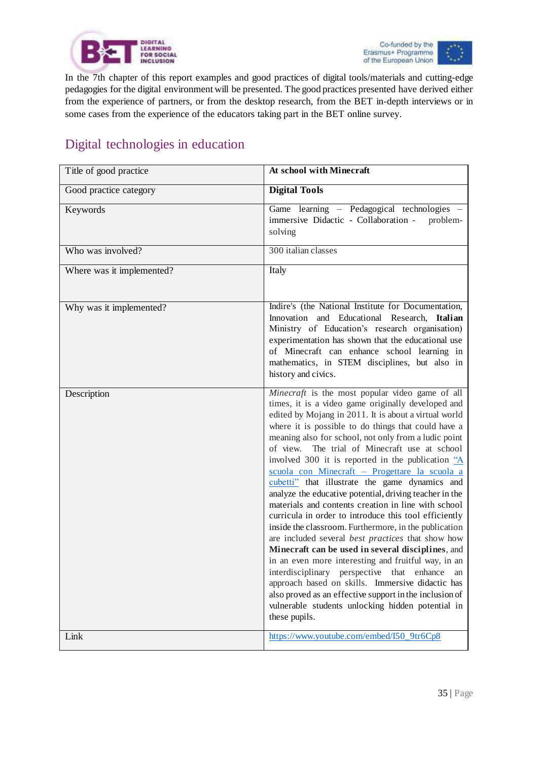![](_page_34_Picture_0.jpeg)

In the 7th chapter of this report examples and good practices of digital tools/materials and cutting-edge pedagogies for the digital environment will be presented. The good practices presented have derived either from the experience of partners, or from the desktop research, from the BET in-depth interviews or in some cases from the experience of the educators taking part in the BET online survey.

### Digital technologies in education

| Title of good practice    | At school with Minecraft                                                                                                                                                                                                                                                                                                                                                                                                                                                                                                                                                                                                                                                                                                                                                                                                                                                                                                                                                                                                                                                                                                                     |
|---------------------------|----------------------------------------------------------------------------------------------------------------------------------------------------------------------------------------------------------------------------------------------------------------------------------------------------------------------------------------------------------------------------------------------------------------------------------------------------------------------------------------------------------------------------------------------------------------------------------------------------------------------------------------------------------------------------------------------------------------------------------------------------------------------------------------------------------------------------------------------------------------------------------------------------------------------------------------------------------------------------------------------------------------------------------------------------------------------------------------------------------------------------------------------|
| Good practice category    | <b>Digital Tools</b>                                                                                                                                                                                                                                                                                                                                                                                                                                                                                                                                                                                                                                                                                                                                                                                                                                                                                                                                                                                                                                                                                                                         |
| Keywords                  | Game learning - Pedagogical technologies -<br>immersive Didactic - Collaboration -<br>problem-<br>solving                                                                                                                                                                                                                                                                                                                                                                                                                                                                                                                                                                                                                                                                                                                                                                                                                                                                                                                                                                                                                                    |
| Who was involved?         | 300 italian classes                                                                                                                                                                                                                                                                                                                                                                                                                                                                                                                                                                                                                                                                                                                                                                                                                                                                                                                                                                                                                                                                                                                          |
| Where was it implemented? | Italy                                                                                                                                                                                                                                                                                                                                                                                                                                                                                                                                                                                                                                                                                                                                                                                                                                                                                                                                                                                                                                                                                                                                        |
| Why was it implemented?   | Indire's (the National Institute for Documentation,<br>Innovation and Educational Research, Italian<br>Ministry of Education's research organisation)<br>experimentation has shown that the educational use<br>of Minecraft can enhance school learning in<br>mathematics, in STEM disciplines, but also in<br>history and civics.                                                                                                                                                                                                                                                                                                                                                                                                                                                                                                                                                                                                                                                                                                                                                                                                           |
| Description               | Minecraft is the most popular video game of all<br>times, it is a video game originally developed and<br>edited by Mojang in 2011. It is about a virtual world<br>where it is possible to do things that could have a<br>meaning also for school, not only from a ludic point<br>of view. The trial of Minecraft use at school<br>involved 300 it is reported in the publication $A$<br>scuola con Minecraft - Progettare la scuola a<br>cubetti" that illustrate the game dynamics and<br>analyze the educative potential, driving teacher in the<br>materials and contents creation in line with school<br>curricula in order to introduce this tool efficiently<br>inside the classroom. Furthermore, in the publication<br>are included several <i>best practices</i> that show how<br>Minecraft can be used in several disciplines, and<br>in an even more interesting and fruitful way, in an<br>interdisciplinary perspective that enhance<br>an<br>approach based on skills. Immersive didactic has<br>also proved as an effective support in the inclusion of<br>vulnerable students unlocking hidden potential in<br>these pupils. |
| Link                      | https://www.youtube.com/embed/I50_9tr6Cp8                                                                                                                                                                                                                                                                                                                                                                                                                                                                                                                                                                                                                                                                                                                                                                                                                                                                                                                                                                                                                                                                                                    |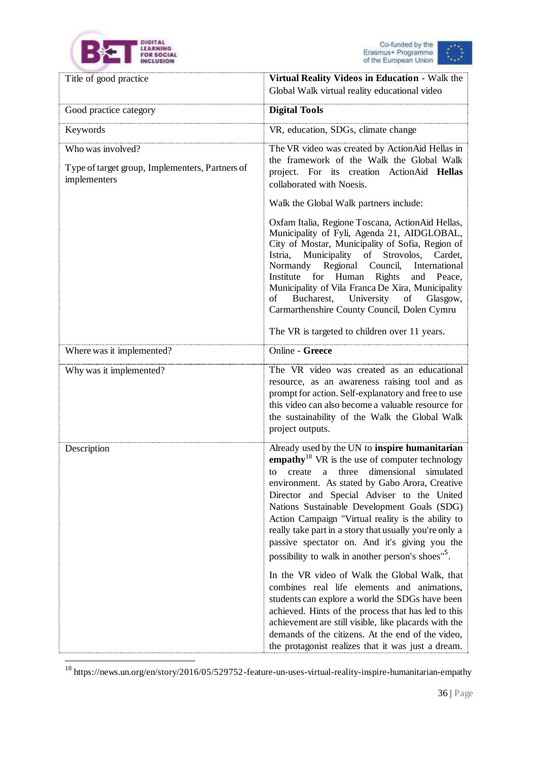![](_page_35_Picture_0.jpeg)

l

![](_page_35_Picture_2.jpeg)

| Title of good practice                                                               | Virtual Reality Videos in Education - Walk the                                                                                                                                                                                                                                                                                                                                                                                                                                                                                                                                                                                                                                                                                                            |
|--------------------------------------------------------------------------------------|-----------------------------------------------------------------------------------------------------------------------------------------------------------------------------------------------------------------------------------------------------------------------------------------------------------------------------------------------------------------------------------------------------------------------------------------------------------------------------------------------------------------------------------------------------------------------------------------------------------------------------------------------------------------------------------------------------------------------------------------------------------|
|                                                                                      | Global Walk virtual reality educational video                                                                                                                                                                                                                                                                                                                                                                                                                                                                                                                                                                                                                                                                                                             |
| Good practice category                                                               | <b>Digital Tools</b>                                                                                                                                                                                                                                                                                                                                                                                                                                                                                                                                                                                                                                                                                                                                      |
| Keywords                                                                             | VR, education, SDGs, climate change                                                                                                                                                                                                                                                                                                                                                                                                                                                                                                                                                                                                                                                                                                                       |
| Who was involved?<br>Type of target group, Implementers, Partners of<br>implementers | The VR video was created by ActionAid Hellas in<br>the framework of the Walk the Global Walk<br>project. For its creation ActionAid Hellas<br>collaborated with Noesis.                                                                                                                                                                                                                                                                                                                                                                                                                                                                                                                                                                                   |
|                                                                                      | Walk the Global Walk partners include:                                                                                                                                                                                                                                                                                                                                                                                                                                                                                                                                                                                                                                                                                                                    |
|                                                                                      | Oxfam Italia, Regione Toscana, ActionAid Hellas,<br>Municipality of Fyli, Agenda 21, AIDGLOBAL,<br>City of Mostar, Municipality of Sofia, Region of<br>Municipality of Strovolos, Cardet,<br>Istria,<br>Normandy Regional Council,<br>International<br>Institute<br>for Human<br>Rights<br>and Peace,<br>Municipality of Vila Franca De Xira, Municipality<br>Bucharest,<br>University<br>of<br>of<br>Glasgow,<br>Carmarthenshire County Council, Dolen Cymru<br>The VR is targeted to children over 11 years.                                                                                                                                                                                                                                            |
| Where was it implemented?                                                            | Online - Greece                                                                                                                                                                                                                                                                                                                                                                                                                                                                                                                                                                                                                                                                                                                                           |
| Why was it implemented?                                                              | The VR video was created as an educational<br>resource, as an awareness raising tool and as<br>prompt for action. Self-explanatory and free to use<br>this video can also become a valuable resource for<br>the sustainability of the Walk the Global Walk<br>project outputs.                                                                                                                                                                                                                                                                                                                                                                                                                                                                            |
| Description                                                                          | Already used by the UN to inspire humanitarian<br><b>empathy</b> <sup>18</sup> VR is the use of computer technology<br>to create a three dimensional simulated<br>environment. As stated by Gabo Arora, Creative<br>Director and Special Adviser to the United<br>Nations Sustainable Development Goals (SDG)<br>Action Campaign "Virtual reality is the ability to<br>really take part in a story that usually you're only a<br>passive spectator on. And it's giving you the<br>possibility to walk in another person's shoes" <sup>5</sup> .<br>In the VR video of Walk the Global Walk, that<br>combines real life elements and animations,<br>students can explore a world the SDGs have been<br>achieved. Hints of the process that has led to this |
|                                                                                      | achievement are still visible, like placards with the<br>demands of the citizens. At the end of the video,<br>the protagonist realizes that it was just a dream.                                                                                                                                                                                                                                                                                                                                                                                                                                                                                                                                                                                          |

<sup>&</sup>lt;sup>18</sup> https://news.un.org/en/story/2016/05/529752-feature-un-uses-virtual-reality-inspire-humanitarian-empathy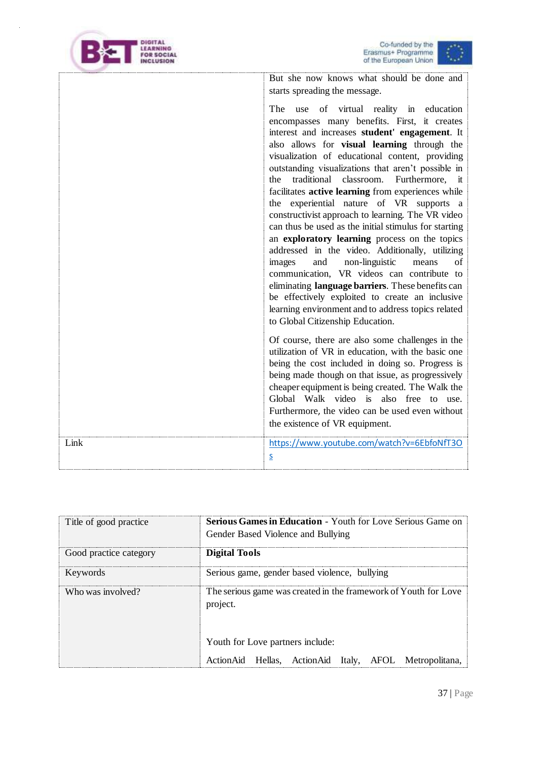| <b>DIGITAL</b><br><b>LEARNING</b>    |
|--------------------------------------|
| <b>FOR SOCIAL</b><br><b>NCLUSION</b> |

![](_page_36_Picture_2.jpeg)

But she now knows what should be done and starts spreading the message.

The use of virtual reality in education encompasses many benefits. First, it creates interest and increases **student' engagement**. It also allows for **visual learning** through the visualization of educational content, providing outstanding visualizations that aren't possible in the traditional classroom. Furthermore, it facilitates **active learning** from experiences while the experiential nature of VR supports a constructivist approach to learning. The VR video can thus be used as the initial stimulus for starting an **exploratory learning** process on the topics addressed in the video. Additionally, utilizing images and non-linguistic means of communication, VR videos can contribute to eliminating **language barriers**. These benefits can be effectively exploited to create an inclusive learning environment and to address topics related to Global Citizenship Education.

Of course, there are also some challenges in the utilization of VR in education, with the basic one being the cost included in doing so. Progress is being made though on that issue, as progressively cheaper equipment is being created. The Walk the Global Walk video is also free to use. Furthermore, the video can be used even without the existence of VR equipment.

| .1n k | https://www.youtube.com/watch?v=6EbfoNfT3C |
|-------|--------------------------------------------|
|       |                                            |
|       |                                            |

| Title of good practice | <b>Serious Games in Education</b> - Youth for Love Serious Game on<br>Gender Based Violence and Bullying |  |
|------------------------|----------------------------------------------------------------------------------------------------------|--|
| Good practice category | <b>Digital Tools</b>                                                                                     |  |
| Keywords               | Serious game, gender based violence, bullying                                                            |  |
| Who was involved?      | The serious game was created in the framework of Youth for Love<br>project.                              |  |
|                        | Youth for Love partners include:                                                                         |  |
|                        | ActionAid Hellas, ActionAid Italy, AFOL Metropolitana,                                                   |  |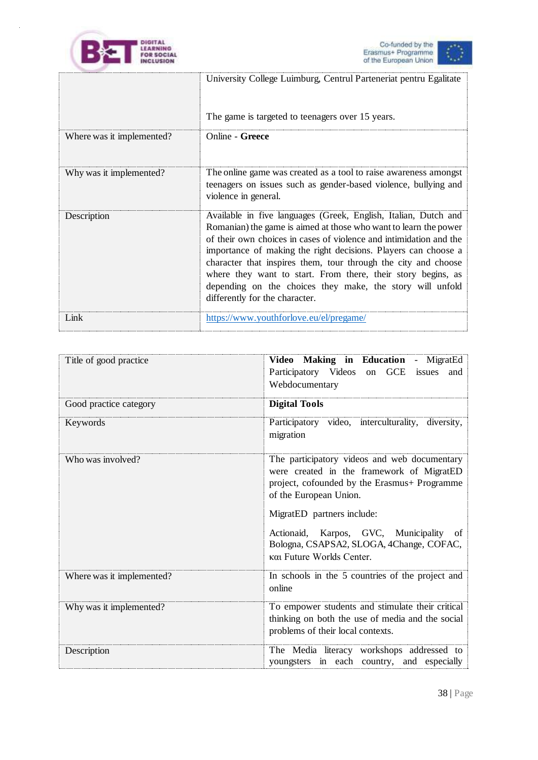![](_page_37_Picture_0.jpeg)

|                           | University College Luimburg, Centrul Parteneriat pentru Egalitate<br>The game is targeted to teenagers over 15 years.                                                                                                                                                                                                                                                                                                                                                                                        |
|---------------------------|--------------------------------------------------------------------------------------------------------------------------------------------------------------------------------------------------------------------------------------------------------------------------------------------------------------------------------------------------------------------------------------------------------------------------------------------------------------------------------------------------------------|
| Where was it implemented? | Online - Greece                                                                                                                                                                                                                                                                                                                                                                                                                                                                                              |
| Why was it implemented?   | The online game was created as a tool to raise awareness amongst<br>teenagers on issues such as gender-based violence, bullying and<br>violence in general.                                                                                                                                                                                                                                                                                                                                                  |
| Description               | Available in five languages (Greek, English, Italian, Dutch and<br>Romanian) the game is aimed at those who want to learn the power<br>of their own choices in cases of violence and intimidation and the<br>importance of making the right decisions. Players can choose a<br>character that inspires them, tour through the city and choose<br>where they want to start. From there, their story begins, as<br>depending on the choices they make, the story will unfold<br>differently for the character. |
| Link                      | https://www.youthforlove.eu/el/pregame/                                                                                                                                                                                                                                                                                                                                                                                                                                                                      |

| Title of good practice    | Video Making in Education - MigratEd<br>Participatory Videos on GCE<br>issues<br>and<br>Webdocumentary                                                              |
|---------------------------|---------------------------------------------------------------------------------------------------------------------------------------------------------------------|
| Good practice category    | <b>Digital Tools</b>                                                                                                                                                |
| Keywords                  | Participatory video, interculturality, diversity,<br>migration                                                                                                      |
| Who was involved?         | The participatory videos and web documentary<br>were created in the framework of MigratED<br>project, cofounded by the Erasmus+ Programme<br>of the European Union. |
|                           | MigratED partners include:                                                                                                                                          |
|                           | Actionaid, Karpos, GVC, Municipality of<br>Bologna, CSAPSA2, SLOGA, 4Change, COFAC,<br>και Future Worlds Center.                                                    |
| Where was it implemented? | In schools in the 5 countries of the project and<br>online                                                                                                          |
| Why was it implemented?   | To empower students and stimulate their critical<br>thinking on both the use of media and the social<br>problems of their local contexts.                           |
| Description               | The Media literacy workshops addressed to<br>youngsters in each country, and especially                                                                             |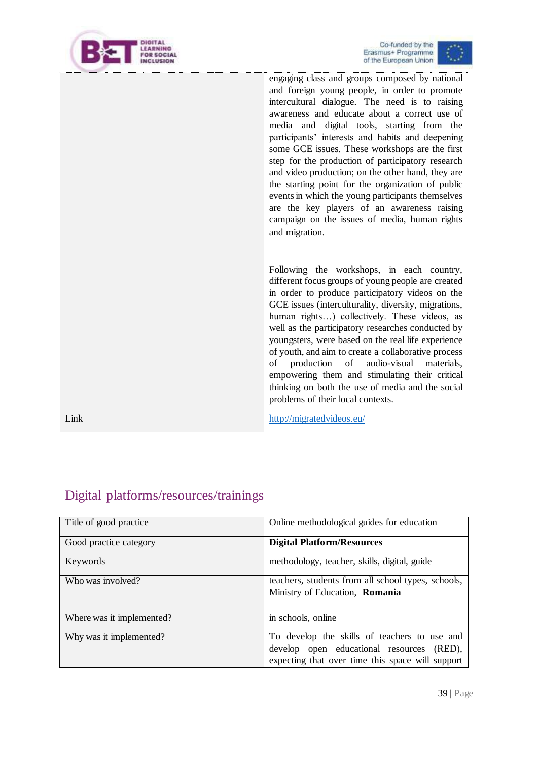![](_page_38_Picture_0.jpeg)

![](_page_38_Picture_2.jpeg)

| engaging class and groups composed by national<br>and foreign young people, in order to promote<br>intercultural dialogue. The need is to raising<br>awareness and educate about a correct use of<br>media and digital tools, starting from the<br>participants' interests and habits and deepening<br>some GCE issues. These workshops are the first<br>step for the production of participatory research<br>and video production; on the other hand, they are<br>the starting point for the organization of public<br>events in which the young participants themselves<br>are the key players of an awareness raising<br>campaign on the issues of media, human rights<br>and migration. |
|---------------------------------------------------------------------------------------------------------------------------------------------------------------------------------------------------------------------------------------------------------------------------------------------------------------------------------------------------------------------------------------------------------------------------------------------------------------------------------------------------------------------------------------------------------------------------------------------------------------------------------------------------------------------------------------------|
| Following the workshops, in each country,<br>different focus groups of young people are created                                                                                                                                                                                                                                                                                                                                                                                                                                                                                                                                                                                             |

in order to produce participatory videos on the GCE issues (interculturality, diversity, migrations, human rights...) collectively. These videos, as well as the participatory researches conducted by youngsters, were based on the real life experience of youth, and aim to create a collaborative process of production of audio-visual materials, empowering them and stimulating their critical thinking on both the use of media and the social problems of their local contexts.

Link <http://migratedvideos.eu/>

### Digital platforms/resources/trainings

| Title of good practice    | Online methodological guides for education         |
|---------------------------|----------------------------------------------------|
| Good practice category    | <b>Digital Platform/Resources</b>                  |
| Keywords                  | methodology, teacher, skills, digital, guide       |
| Who was involved?         | teachers, students from all school types, schools, |
|                           | Ministry of Education, Romania                     |
| Where was it implemented? | in schools, online                                 |
| Why was it implemented?   | To develop the skills of teachers to use and       |
|                           | develop open educational resources<br>$(RED)$ ,    |
|                           | expecting that over time this space will support   |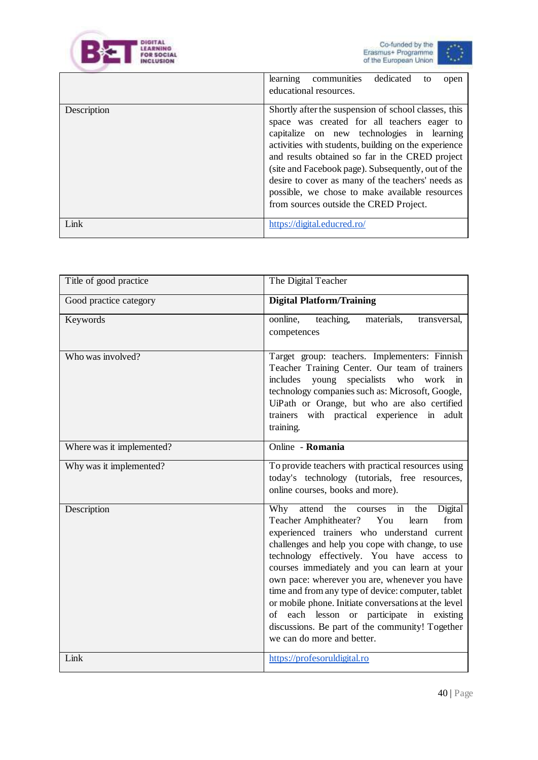![](_page_39_Picture_0.jpeg)

![](_page_39_Picture_2.jpeg)

|             | learning communities dedicated<br>to<br>open<br>educational resources.                                                                                                                                                                                                                                                                                                                                                                                              |
|-------------|---------------------------------------------------------------------------------------------------------------------------------------------------------------------------------------------------------------------------------------------------------------------------------------------------------------------------------------------------------------------------------------------------------------------------------------------------------------------|
| Description | Shortly after the suspension of school classes, this<br>space was created for all teachers eager to<br>capitalize on new technologies in learning<br>activities with students, building on the experience<br>and results obtained so far in the CRED project<br>(site and Facebook page). Subsequently, out of the<br>desire to cover as many of the teachers' needs as<br>possible, we chose to make available resources<br>from sources outside the CRED Project. |
| Link        | https://digital.educred.ro/                                                                                                                                                                                                                                                                                                                                                                                                                                         |

| Title of good practice    | The Digital Teacher                                                                                                                                                                                                                                                                                                                                                                                                                                                                                                                                                                                  |
|---------------------------|------------------------------------------------------------------------------------------------------------------------------------------------------------------------------------------------------------------------------------------------------------------------------------------------------------------------------------------------------------------------------------------------------------------------------------------------------------------------------------------------------------------------------------------------------------------------------------------------------|
| Good practice category    | <b>Digital Platform/Training</b>                                                                                                                                                                                                                                                                                                                                                                                                                                                                                                                                                                     |
| Keywords                  | oonline,<br>teaching,<br>materials,<br>transversal,<br>competences                                                                                                                                                                                                                                                                                                                                                                                                                                                                                                                                   |
| Who was involved?         | Target group: teachers. Implementers: Finnish<br>Teacher Training Center. Our team of trainers<br>specialists<br>includes<br>young<br>who<br>work<br>in<br>technology companies such as: Microsoft, Google,<br>UiPath or Orange, but who are also certified<br>trainers with practical experience in adult<br>training.                                                                                                                                                                                                                                                                              |
| Where was it implemented? | Online - Romania                                                                                                                                                                                                                                                                                                                                                                                                                                                                                                                                                                                     |
| Why was it implemented?   | To provide teachers with practical resources using<br>today's technology (tutorials, free resources,<br>online courses, books and more).                                                                                                                                                                                                                                                                                                                                                                                                                                                             |
| Description               | attend the courses in<br>Why<br>the<br>Digital<br>from<br>Teacher Amphitheater?<br>You<br>learn<br>experienced trainers who understand current<br>challenges and help you cope with change, to use<br>technology effectively. You have access to<br>courses immediately and you can learn at your<br>own pace: wherever you are, whenever you have<br>time and from any type of device: computer, tablet<br>or mobile phone. Initiate conversations at the level<br>each lesson or participate in<br>of<br>existing<br>discussions. Be part of the community! Together<br>we can do more and better. |
| Link                      | https://profesoruldigital.ro                                                                                                                                                                                                                                                                                                                                                                                                                                                                                                                                                                         |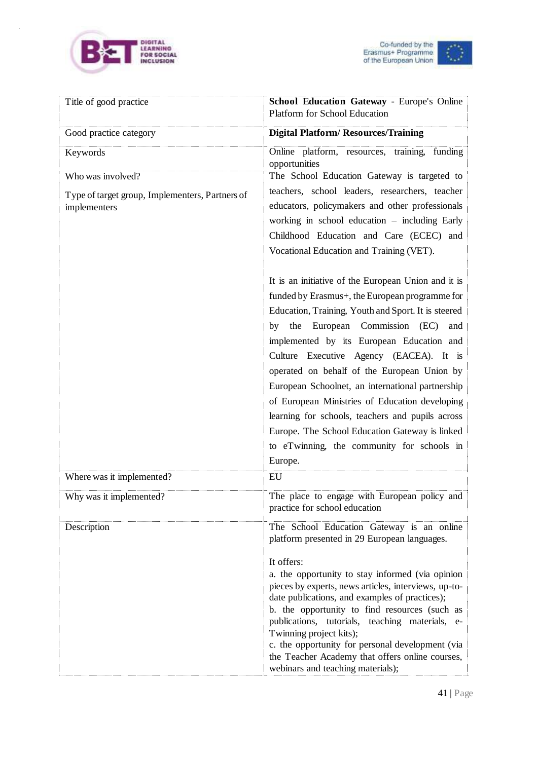![](_page_40_Picture_0.jpeg)

![](_page_40_Picture_1.jpeg)

![](_page_40_Picture_2.jpeg)

| Title of good practice                          | School Education Gateway - Europe's Online                                    |
|-------------------------------------------------|-------------------------------------------------------------------------------|
|                                                 | <b>Platform for School Education</b>                                          |
| Good practice category                          | <b>Digital Platform/ Resources/Training</b>                                   |
| Keywords                                        | Online platform, resources, training, funding                                 |
|                                                 | opportunities                                                                 |
| Who was involved?                               | The School Education Gateway is targeted to                                   |
| Type of target group, Implementers, Partners of | teachers, school leaders, researchers, teacher                                |
| implementers                                    | educators, policymakers and other professionals                               |
|                                                 | working in school education - including Early                                 |
|                                                 | Childhood Education and Care (ECEC) and                                       |
|                                                 | Vocational Education and Training (VET).                                      |
|                                                 | It is an initiative of the European Union and it is                           |
|                                                 | funded by Erasmus+, the European programme for                                |
|                                                 | Education, Training, Youth and Sport. It is steered                           |
|                                                 | the European Commission (EC)<br>by<br>and                                     |
|                                                 | implemented by its European Education and                                     |
|                                                 | Culture Executive Agency (EACEA). It is                                       |
|                                                 | operated on behalf of the European Union by                                   |
|                                                 | European Schoolnet, an international partnership                              |
|                                                 | of European Ministries of Education developing                                |
|                                                 | learning for schools, teachers and pupils across                              |
|                                                 | Europe. The School Education Gateway is linked                                |
|                                                 | to eTwinning, the community for schools in                                    |
|                                                 | Europe.                                                                       |
| Where was it implemented?                       | EU                                                                            |
| Why was it implemented?                         | The place to engage with European policy and<br>practice for school education |
| Description                                     | The School Education Gateway is an online                                     |
|                                                 | platform presented in 29 European languages.                                  |
|                                                 | It offers:                                                                    |
|                                                 | a. the opportunity to stay informed (via opinion                              |
|                                                 | pieces by experts, news articles, interviews, up-to-                          |
|                                                 | date publications, and examples of practices);                                |
|                                                 | b. the opportunity to find resources (such as                                 |
|                                                 | publications, tutorials, teaching materials, e-<br>Twinning project kits);    |
|                                                 | c. the opportunity for personal development (via                              |
|                                                 | the Teacher Academy that offers online courses,                               |
|                                                 | webinars and teaching materials);                                             |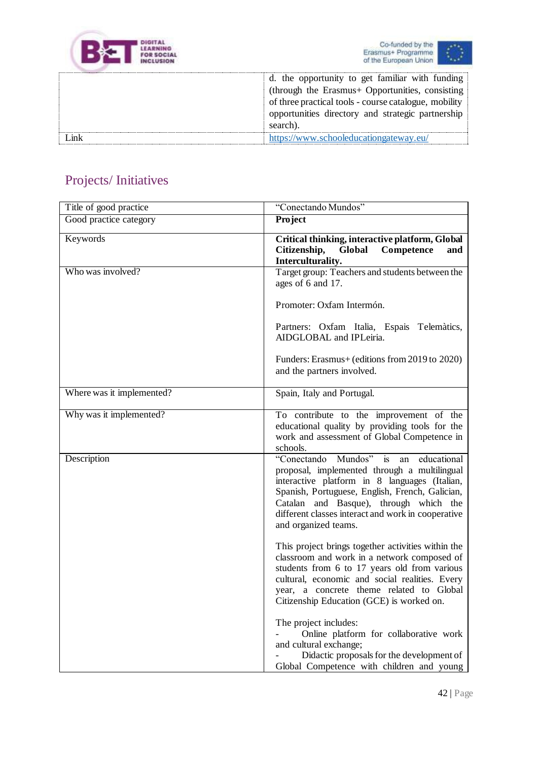![](_page_41_Picture_0.jpeg)

![](_page_41_Picture_2.jpeg)

|      | d. the opportunity to get familiar with funding       |
|------|-------------------------------------------------------|
|      | (through the Erasmus+ Opportunities, consisting       |
|      | of three practical tools - course catalogue, mobility |
|      | opportunities directory and strategic partnership     |
|      | search).                                              |
| Link | https://www.schooleducationgateway.eu/                |

### Projects/ Initiatives

| Title of good practice    | "Conectando Mundos"                                                                                                                                                                                                                                                                                                  |
|---------------------------|----------------------------------------------------------------------------------------------------------------------------------------------------------------------------------------------------------------------------------------------------------------------------------------------------------------------|
| Good practice category    | Project                                                                                                                                                                                                                                                                                                              |
| Keywords                  | Critical thinking, interactive platform, Global<br>Global<br>Citizenship,<br>Competence<br>and<br>Interculturality.                                                                                                                                                                                                  |
| Who was involved?         | Target group: Teachers and students between the<br>ages of 6 and 17.<br>Promoter: Oxfam Intermón.                                                                                                                                                                                                                    |
|                           | Partners: Oxfam Italia, Espais Telemàtics,<br>AIDGLOBAL and IPLeiria.                                                                                                                                                                                                                                                |
|                           | Funders: Erasmus+ (editions from 2019 to 2020)<br>and the partners involved.                                                                                                                                                                                                                                         |
| Where was it implemented? | Spain, Italy and Portugal.                                                                                                                                                                                                                                                                                           |
| Why was it implemented?   | To contribute to the improvement of the<br>educational quality by providing tools for the<br>work and assessment of Global Competence in<br>schools.                                                                                                                                                                 |
| Description               | "Conectando Mundos" is an<br>educational<br>proposal, implemented through a multilingual<br>interactive platform in 8 languages (Italian,<br>Spanish, Portuguese, English, French, Galician,<br>Catalan and Basque), through which the<br>different classes interact and work in cooperative<br>and organized teams. |
|                           | This project brings together activities within the<br>classroom and work in a network composed of<br>students from 6 to 17 years old from various<br>cultural, economic and social realities. Every<br>year, a concrete theme related to Global<br>Citizenship Education (GCE) is worked on.                         |
|                           | The project includes:<br>Online platform for collaborative work<br>and cultural exchange;<br>Didactic proposals for the development of<br>Global Competence with children and young                                                                                                                                  |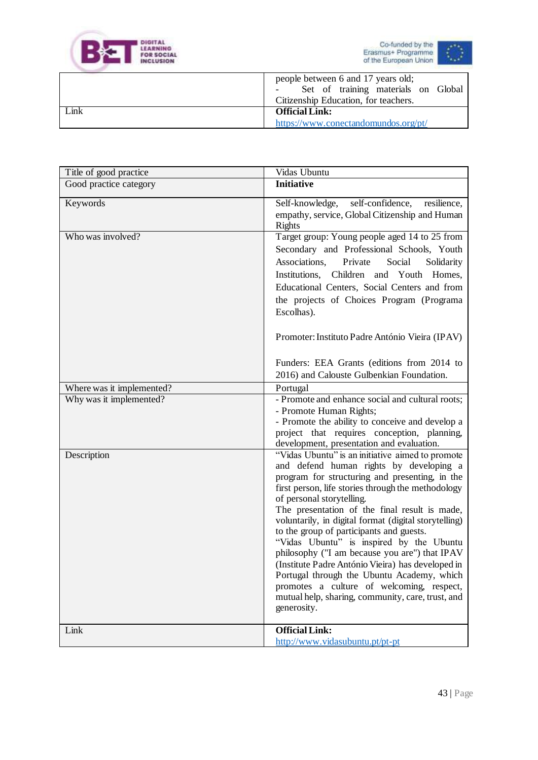![](_page_42_Picture_0.jpeg)

![](_page_42_Picture_2.jpeg)

|      | people between 6 and 17 years old;<br>Set of training materials on Global |
|------|---------------------------------------------------------------------------|
|      | Citizenship Education, for teachers.                                      |
| Link | <b>Official Link:</b>                                                     |
|      | https://www.conectandomundos.org/pt/                                      |

| Title of good practice    | Vidas Ubuntu                                                                                                                                                                                                                                                                                                                                                                                                                                                                                                                                                                                                                                                                                            |
|---------------------------|---------------------------------------------------------------------------------------------------------------------------------------------------------------------------------------------------------------------------------------------------------------------------------------------------------------------------------------------------------------------------------------------------------------------------------------------------------------------------------------------------------------------------------------------------------------------------------------------------------------------------------------------------------------------------------------------------------|
| Good practice category    | <b>Initiative</b>                                                                                                                                                                                                                                                                                                                                                                                                                                                                                                                                                                                                                                                                                       |
| Keywords                  | Self-knowledge, self-confidence,<br>resilience,<br>empathy, service, Global Citizenship and Human<br>Rights                                                                                                                                                                                                                                                                                                                                                                                                                                                                                                                                                                                             |
| Who was involved?         | Target group: Young people aged 14 to 25 from<br>Secondary and Professional Schools, Youth<br>Associations,<br>Private<br>Social<br>Solidarity<br>Children and Youth<br>Institutions,<br>Homes,<br>Educational Centers, Social Centers and from<br>the projects of Choices Program (Programa<br>Escolhas).<br>Promoter: Instituto Padre António Vieira (IPAV)                                                                                                                                                                                                                                                                                                                                           |
|                           | Funders: EEA Grants (editions from 2014 to<br>2016) and Calouste Gulbenkian Foundation.                                                                                                                                                                                                                                                                                                                                                                                                                                                                                                                                                                                                                 |
| Where was it implemented? | Portugal                                                                                                                                                                                                                                                                                                                                                                                                                                                                                                                                                                                                                                                                                                |
| Why was it implemented?   | - Promote and enhance social and cultural roots;<br>- Promote Human Rights;<br>- Promote the ability to conceive and develop a<br>project that requires conception, planning,<br>development, presentation and evaluation.                                                                                                                                                                                                                                                                                                                                                                                                                                                                              |
| Description               | "Vidas Ubuntu" is an initiative aimed to promote<br>and defend human rights by developing a<br>program for structuring and presenting, in the<br>first person, life stories through the methodology<br>of personal storytelling.<br>The presentation of the final result is made,<br>voluntarily, in digital format (digital storytelling)<br>to the group of participants and guests.<br>"Vidas Ubuntu" is inspired by the Ubuntu<br>philosophy ("I am because you are") that IPAV<br>(Institute Padre António Vieira) has developed in<br>Portugal through the Ubuntu Academy, which<br>promotes a culture of welcoming, respect,<br>mutual help, sharing, community, care, trust, and<br>generosity. |
| Link                      | <b>Official Link:</b><br>http://www.vidasubuntu.pt/pt-pt                                                                                                                                                                                                                                                                                                                                                                                                                                                                                                                                                                                                                                                |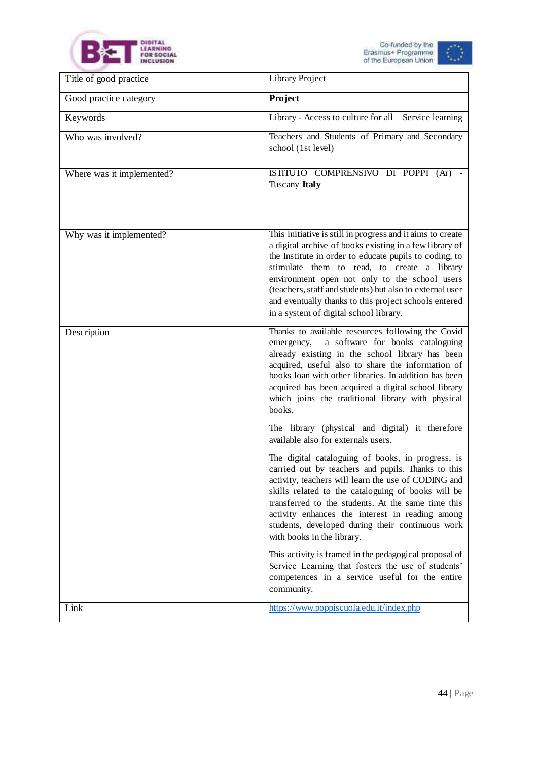![](_page_43_Picture_0.jpeg)

![](_page_43_Picture_2.jpeg)

| Title of good practice    | Library Project                                                                                                                                                                                                                                                                                                                                                                                                                                |
|---------------------------|------------------------------------------------------------------------------------------------------------------------------------------------------------------------------------------------------------------------------------------------------------------------------------------------------------------------------------------------------------------------------------------------------------------------------------------------|
| Good practice category    | Project                                                                                                                                                                                                                                                                                                                                                                                                                                        |
| Keywords                  | Library - Access to culture for all - Service learning                                                                                                                                                                                                                                                                                                                                                                                         |
| Who was involved?         | Teachers and Students of Primary and Secondary<br>school (1st level)                                                                                                                                                                                                                                                                                                                                                                           |
| Where was it implemented? | ISTITUTO COMPRENSIVO DI POPPI (Ar)<br>Tuscany Italy                                                                                                                                                                                                                                                                                                                                                                                            |
| Why was it implemented?   | This initiative is still in progress and it aims to create<br>a digital archive of books existing in a few library of<br>the Institute in order to educate pupils to coding, to<br>stimulate them to read, to create a library<br>environment open not only to the school users<br>(teachers, staff and students) but also to external user<br>and eventually thanks to this project schools entered<br>in a system of digital school library. |
| Description               | Thanks to available resources following the Covid<br>a software for books cataloguing<br>emergency,<br>already existing in the school library has been<br>acquired, useful also to share the information of<br>books loan with other libraries. In addition has been<br>acquired has been acquired a digital school library<br>which joins the traditional library with physical<br>books.                                                     |
|                           | The library (physical and digital) it therefore<br>available also for externals users.                                                                                                                                                                                                                                                                                                                                                         |
|                           | The digital cataloguing of books, in progress, is<br>carried out by teachers and pupils. Thanks to this<br>activity, teachers will learn the use of CODING and<br>skills related to the cataloguing of books will be<br>transferred to the students. At the same time this<br>activity enhances the interest in reading among<br>students, developed during their continuous work<br>with books in the library.                                |
|                           | This activity is framed in the pedagogical proposal of<br>Service Learning that fosters the use of students'<br>competences in a service useful for the entire<br>community.                                                                                                                                                                                                                                                                   |
| Link                      | https://www.poppiscuola.edu.it/index.php                                                                                                                                                                                                                                                                                                                                                                                                       |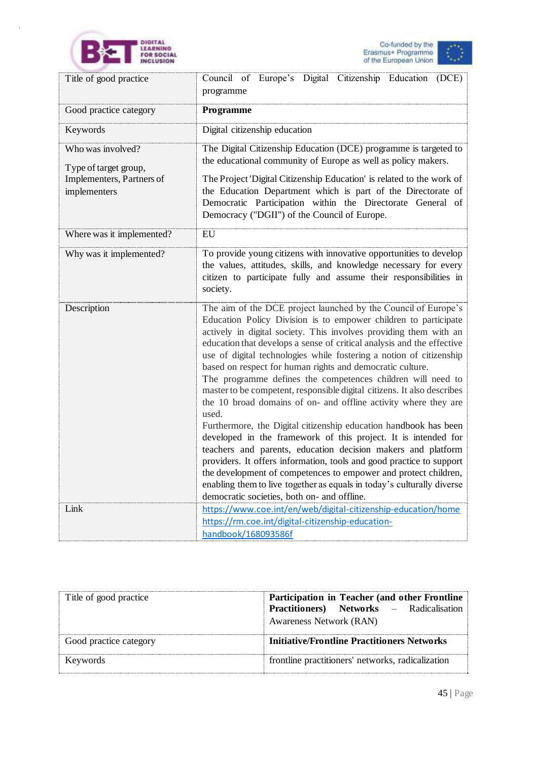![](_page_44_Picture_0.jpeg)

![](_page_44_Picture_1.jpeg)

![](_page_44_Picture_2.jpeg)

| Title of good practice                                                                  | Council of Europe's Digital Citizenship Education (DCE)<br>programme                                                                                                                                                                                                                                                                                                                                                                                                                                                                                                                                                                                                                                                                                                                                                                                                                                                                                                                                                                                                                                                 |
|-----------------------------------------------------------------------------------------|----------------------------------------------------------------------------------------------------------------------------------------------------------------------------------------------------------------------------------------------------------------------------------------------------------------------------------------------------------------------------------------------------------------------------------------------------------------------------------------------------------------------------------------------------------------------------------------------------------------------------------------------------------------------------------------------------------------------------------------------------------------------------------------------------------------------------------------------------------------------------------------------------------------------------------------------------------------------------------------------------------------------------------------------------------------------------------------------------------------------|
| Good practice category                                                                  | Programme                                                                                                                                                                                                                                                                                                                                                                                                                                                                                                                                                                                                                                                                                                                                                                                                                                                                                                                                                                                                                                                                                                            |
| Keywords                                                                                | Digital citizenship education                                                                                                                                                                                                                                                                                                                                                                                                                                                                                                                                                                                                                                                                                                                                                                                                                                                                                                                                                                                                                                                                                        |
| Who was involved?<br>Type of target group,<br>Implementers, Partners of<br>implementers | The Digital Citizenship Education (DCE) programme is targeted to<br>the educational community of Europe as well as policy makers.<br>The Project 'Digital Citizenship Education' is related to the work of<br>the Education Department which is part of the Directorate of<br>Democratic Participation within the Directorate General of<br>Democracy ("DGII") of the Council of Europe.                                                                                                                                                                                                                                                                                                                                                                                                                                                                                                                                                                                                                                                                                                                             |
| Where was it implemented?                                                               | EU                                                                                                                                                                                                                                                                                                                                                                                                                                                                                                                                                                                                                                                                                                                                                                                                                                                                                                                                                                                                                                                                                                                   |
| Why was it implemented?                                                                 | To provide young citizens with innovative opportunities to develop<br>the values, attitudes, skills, and knowledge necessary for every<br>citizen to participate fully and assume their responsibilities in<br>society.                                                                                                                                                                                                                                                                                                                                                                                                                                                                                                                                                                                                                                                                                                                                                                                                                                                                                              |
| Description                                                                             | The aim of the DCE project launched by the Council of Europe's<br>Education Policy Division is to empower children to participate<br>actively in digital society. This involves providing them with an<br>education that develops a sense of critical analysis and the effective<br>use of digital technologies while fostering a notion of citizenship<br>based on respect for human rights and democratic culture.<br>The programme defines the competences children will need to<br>master to be competent, responsible digital citizens. It also describes<br>the 10 broad domains of on- and offline activity where they are<br>used.<br>Furthermore, the Digital citizenship education handbook has been<br>developed in the framework of this project. It is intended for<br>teachers and parents, education decision makers and platform<br>providers. It offers information, tools and good practice to support<br>the development of competences to empower and protect children,<br>enabling them to live together as equals in today's culturally diverse<br>democratic societies, both on- and offline. |
| Link                                                                                    | https://www.coe.int/en/web/digital-citizenship-education/home<br>https://rm.coe.int/digital-citizenship-education-<br>handbook/168093586f                                                                                                                                                                                                                                                                                                                                                                                                                                                                                                                                                                                                                                                                                                                                                                                                                                                                                                                                                                            |

| Title of good practice | Participation in Teacher (and other Frontline<br><b>Practitioners</b> ) Networks – Radicalisation<br>Awareness Network (RAN) |
|------------------------|------------------------------------------------------------------------------------------------------------------------------|
| Good practice category | <b>Initiative/Frontline Practitioners Networks</b>                                                                           |
| Keywords               | frontline practitioners' networks, radicalization                                                                            |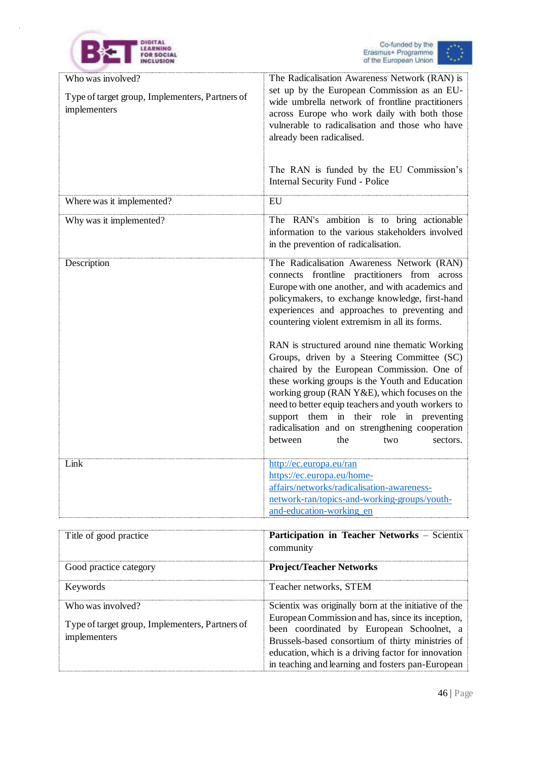![](_page_45_Picture_0.jpeg)

![](_page_45_Picture_2.jpeg)

| Who was involved?<br>Type of target group, Implementers, Partners of<br>implementers | The Radicalisation Awareness Network (RAN) is<br>set up by the European Commission as an EU-<br>wide umbrella network of frontline practitioners<br>across Europe who work daily with both those<br>vulnerable to radicalisation and those who have<br>already been radicalised.<br>The RAN is funded by the EU Commission's<br>Internal Security Fund - Police                                                                                                                                                                                                                                                                                                                                                                                 |
|--------------------------------------------------------------------------------------|-------------------------------------------------------------------------------------------------------------------------------------------------------------------------------------------------------------------------------------------------------------------------------------------------------------------------------------------------------------------------------------------------------------------------------------------------------------------------------------------------------------------------------------------------------------------------------------------------------------------------------------------------------------------------------------------------------------------------------------------------|
| Where was it implemented?                                                            | EU                                                                                                                                                                                                                                                                                                                                                                                                                                                                                                                                                                                                                                                                                                                                              |
| Why was it implemented?                                                              | The RAN's ambition is to bring actionable<br>information to the various stakeholders involved<br>in the prevention of radicalisation.                                                                                                                                                                                                                                                                                                                                                                                                                                                                                                                                                                                                           |
| Description                                                                          | The Radicalisation Awareness Network (RAN)<br>connects frontline practitioners from across<br>Europe with one another, and with academics and<br>policymakers, to exchange knowledge, first-hand<br>experiences and approaches to preventing and<br>countering violent extremism in all its forms.<br>RAN is structured around nine thematic Working<br>Groups, driven by a Steering Committee (SC)<br>chaired by the European Commission. One of<br>these working groups is the Youth and Education<br>working group (RAN Y&E), which focuses on the<br>need to better equip teachers and youth workers to<br>support them in their role in preventing<br>radicalisation and on strengthening cooperation<br>between<br>the<br>two<br>sectors. |
| Link                                                                                 | http://ec.europa.eu/ran<br>https://ec.europa.eu/home-<br>affairs/networks/radicalisation-awareness-<br>network-ran/topics-and-working-groups/youth-<br>and-education-working en                                                                                                                                                                                                                                                                                                                                                                                                                                                                                                                                                                 |
|                                                                                      |                                                                                                                                                                                                                                                                                                                                                                                                                                                                                                                                                                                                                                                                                                                                                 |
| Title of good practice                                                               | Participation in Teacher Networks - Scientix<br>community                                                                                                                                                                                                                                                                                                                                                                                                                                                                                                                                                                                                                                                                                       |
| Good practice category                                                               | <b>Project/Teacher Networks</b>                                                                                                                                                                                                                                                                                                                                                                                                                                                                                                                                                                                                                                                                                                                 |

|                                                                 | <b>COMMITMENT</b>                                                                                                                                   |
|-----------------------------------------------------------------|-----------------------------------------------------------------------------------------------------------------------------------------------------|
| Good practice category                                          | <b>Project/Teacher Networks</b>                                                                                                                     |
| Keywords                                                        | Teacher networks, STEM                                                                                                                              |
| Who was involved?                                               | Scientix was originally born at the initiative of the                                                                                               |
| Type of target group, Implementers, Partners of<br>implementers | European Commission and has, since its inception,<br>been coordinated by European Schoolnet, a<br>Brussels-based consortium of thirty ministries of |
|                                                                 | education, which is a driving factor for innovation<br>in teaching and learning and fosters pan-European                                            |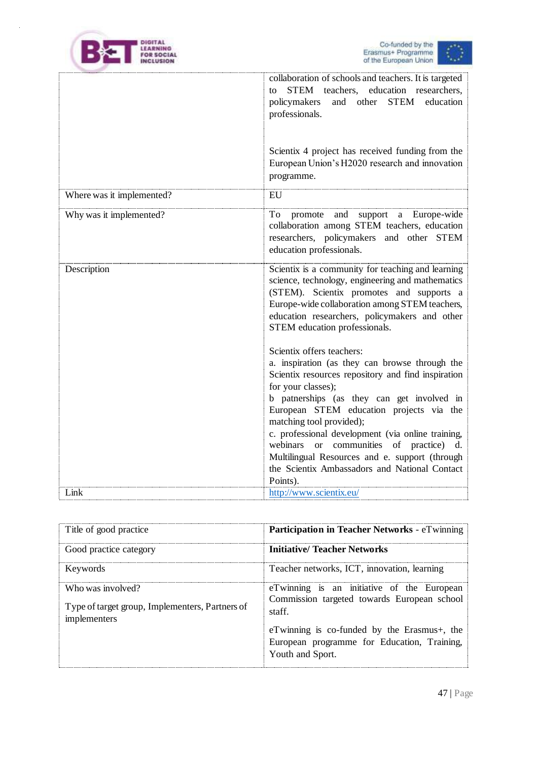![](_page_46_Picture_0.jpeg)

![](_page_46_Picture_2.jpeg)

|                           | collaboration of schools and teachers. It is targeted<br><b>STEM</b><br>teachers,<br>education researchers,<br>to |
|---------------------------|-------------------------------------------------------------------------------------------------------------------|
|                           | policymakers<br>other<br><b>STEM</b><br>and<br>education                                                          |
|                           | professionals.                                                                                                    |
|                           |                                                                                                                   |
|                           |                                                                                                                   |
|                           | Scientix 4 project has received funding from the<br>European Union's H2020 research and innovation                |
|                           | programme.                                                                                                        |
|                           |                                                                                                                   |
| Where was it implemented? | EU                                                                                                                |
| Why was it implemented?   | To<br>promote<br>and<br>Europe-wide<br>support<br>a                                                               |
|                           | collaboration among STEM teachers, education                                                                      |
|                           | researchers, policymakers and other STEM<br>education professionals.                                              |
|                           |                                                                                                                   |
| Description               | Scientix is a community for teaching and learning<br>science, technology, engineering and mathematics             |
|                           | (STEM). Scientix promotes and supports a                                                                          |
|                           | Europe-wide collaboration among STEM teachers,                                                                    |
|                           | education researchers, policymakers and other                                                                     |
|                           | STEM education professionals.                                                                                     |
|                           | Scientix offers teachers:                                                                                         |
|                           | a. inspiration (as they can browse through the                                                                    |
|                           | Scientix resources repository and find inspiration                                                                |
|                           | for your classes);<br>b patnerships (as they can get involved in                                                  |
|                           | European STEM education projects via the                                                                          |
|                           | matching tool provided);                                                                                          |
|                           | c. professional development (via online training,                                                                 |
|                           | webinars<br>or communities of practice) d.<br>Multilingual Resources and e. support (through                      |
|                           | the Scientix Ambassadors and National Contact                                                                     |
|                           | Points).                                                                                                          |
| Link                      | http://www.scientix.eu/                                                                                           |

| Title of good practice                                                               | <b>Participation in Teacher Networks - eTwinning</b>                                                           |
|--------------------------------------------------------------------------------------|----------------------------------------------------------------------------------------------------------------|
| Good practice category                                                               | <b>Initiative/ Teacher Networks</b>                                                                            |
| Keywords                                                                             | Teacher networks, ICT, innovation, learning                                                                    |
| Who was involved?<br>Type of target group, Implementers, Partners of<br>implementers | eTwinning is an initiative of the European<br>Commission targeted towards European school<br>staff.            |
|                                                                                      | eTwinning is co-funded by the Erasmus+, the<br>European programme for Education, Training,<br>Youth and Sport. |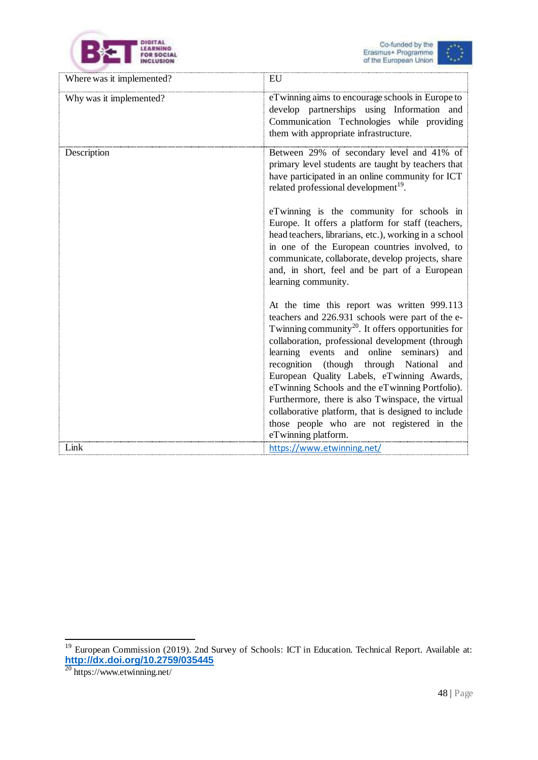![](_page_47_Picture_0.jpeg)

![](_page_47_Picture_2.jpeg)

| Where was it implemented? | EU                                                                                                                                                                                                                                                                                                                                                                                                                                                                                                                                                                                                                                                                                                                                                                                                                                                                                                                                                                                                                                                                                                                                       |
|---------------------------|------------------------------------------------------------------------------------------------------------------------------------------------------------------------------------------------------------------------------------------------------------------------------------------------------------------------------------------------------------------------------------------------------------------------------------------------------------------------------------------------------------------------------------------------------------------------------------------------------------------------------------------------------------------------------------------------------------------------------------------------------------------------------------------------------------------------------------------------------------------------------------------------------------------------------------------------------------------------------------------------------------------------------------------------------------------------------------------------------------------------------------------|
| Why was it implemented?   | eT winning aims to encourage schools in Europe to<br>develop partnerships using Information and<br>Communication Technologies while providing<br>them with appropriate infrastructure.                                                                                                                                                                                                                                                                                                                                                                                                                                                                                                                                                                                                                                                                                                                                                                                                                                                                                                                                                   |
| Description               | Between 29% of secondary level and 41% of<br>primary level students are taught by teachers that<br>have participated in an online community for ICT<br>related professional development <sup>19</sup> .<br>eTwinning is the community for schools in<br>Europe. It offers a platform for staff (teachers,<br>head teachers, librarians, etc.), working in a school<br>in one of the European countries involved, to<br>communicate, collaborate, develop projects, share<br>and, in short, feel and be part of a European<br>learning community.<br>At the time this report was written 999.113<br>teachers and 226.931 schools were part of the e-<br>Twinning community <sup>20</sup> . It offers opportunities for<br>collaboration, professional development (through<br>learning events and online seminars)<br>and<br>recognition<br>(though<br>through National<br>and<br>European Quality Labels, eTwinning Awards,<br>eTwinning Schools and the eTwinning Portfolio).<br>Furthermore, there is also Twinspace, the virtual<br>collaborative platform, that is designed to include<br>those people who are not registered in the |
|                           | eTwinning platform.                                                                                                                                                                                                                                                                                                                                                                                                                                                                                                                                                                                                                                                                                                                                                                                                                                                                                                                                                                                                                                                                                                                      |
| Link                      | https://www.etwinning.net/                                                                                                                                                                                                                                                                                                                                                                                                                                                                                                                                                                                                                                                                                                                                                                                                                                                                                                                                                                                                                                                                                                               |

l <sup>19</sup> European Commission (2019). 2nd Survey of Schools: ICT in Education. Technical Report. Available at: **<http://dx.doi.org/10.2759/035445>**

 $^{20}$  https://www.etwinning.net/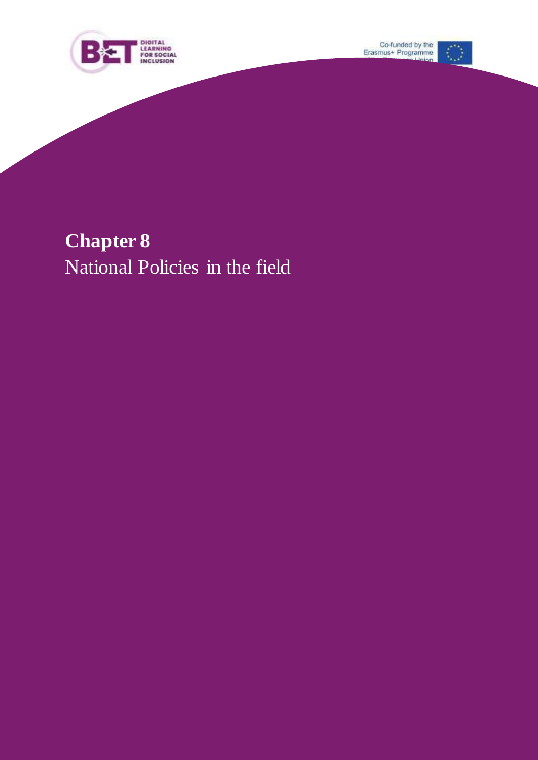![](_page_48_Picture_0.jpeg)

![](_page_48_Picture_2.jpeg)

# <span id="page-48-0"></span>**Chapter 8** National Policies in the field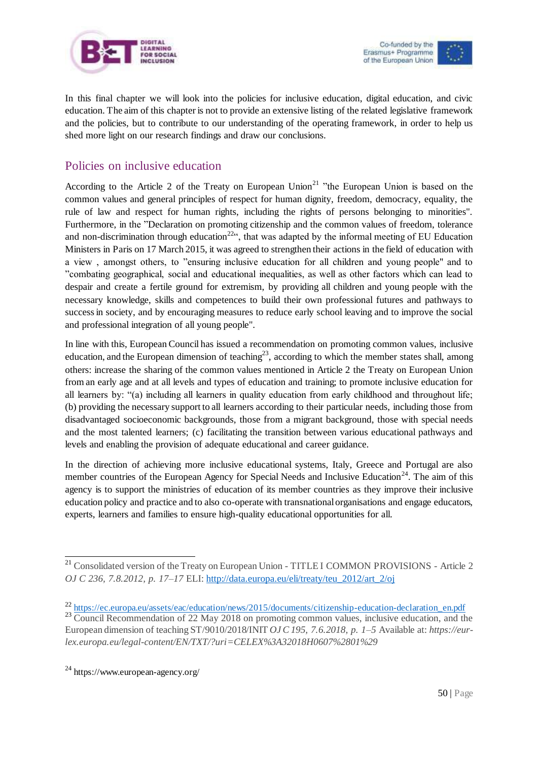![](_page_49_Picture_0.jpeg)

In this final chapter we will look into the policies for inclusive education, digital education, and civic education. The aim of this chapter is not to provide an extensive listing of the related legislative framework and the policies, but to contribute to our understanding of the operating framework, in order to help us shed more light on our research findings and draw our conclusions.

### Policies on inclusive education

According to the Article 2 of the Treaty on European Union<sup>21</sup> "the European Union is based on the common values and general principles of respect for human dignity, freedom, democracy, equality, the rule of law and respect for human rights, including the rights of persons belonging to minorities". Furthermore, in the "Declaration on promoting citizenship and the common values of freedom, tolerance and non-discrimination through education<sup>22 $\alpha$ </sup>, that was adapted by the informal meeting of EU Education Ministers in Paris on 17 March 2015, it was agreed to strengthen their actions in the field of education with a view , amongst others, to "ensuring inclusive education for all children and young people" and to "combating geographical, social and educational inequalities, as well as other factors which can lead to despair and create a fertile ground for extremism, by providing all children and young people with the necessary knowledge, skills and competences to build their own professional futures and pathways to success in society, and by encouraging measures to reduce early school leaving and to improve the social and professional integration of all young people".

In line with this, European Council has issued a recommendation on promoting common values, inclusive education, and the European dimension of teaching<sup>23</sup>, according to which the member states shall, among others: increase the sharing of the common values mentioned in Article 2 the Treaty on European Union from an early age and at all levels and types of education and training; to promote inclusive education for all learners by: "(a) including all learners in quality education from early childhood and throughout life; (b) providing the necessary support to all learners according to their particular needs, including those from disadvantaged socioeconomic backgrounds, those from a migrant background, those with special needs and the most talented learners; (c) facilitating the transition between various educational pathways and levels and enabling the provision of adequate educational and career guidance.

In the direction of achieving more inclusive educational systems, Italy, Greece and Portugal are also member countries of the European Agency for Special Needs and Inclusive Education<sup>24</sup>. The aim of this agency is to support the ministries of education of its member countries as they improve their inclusive education policy and practice and to also co-operate with transnational organisations and engage educators, experts, learners and families to ensure high-quality educational opportunities for all.

l <sup>21</sup> Consolidated version of the Treaty on European Union - TITLE I COMMON PROVISIONS - Article 2 *OJ C 236, 7.8.2012, p. 17–17* E[LI: http://data.europa.eu/eli/treaty/teu\\_2012/art\\_2/](http://data.europa.eu/eli/treaty/teu_2012/art_2/oj)oj

<sup>22</sup> [https://ec.europa.eu/assets/eac/education/news/2015/documents/citizenship-education-declaration\\_en.p](https://ec.europa.eu/assets/eac/education/news/2015/documents/citizenship-education-declaration_en.pdf)df

<sup>&</sup>lt;sup>23</sup> Council Recommendation of 22 May 2018 on promoting common values, inclusive education, and the European dimension of teaching ST/9010/2018/INIT *OJ C 195, 7.6.2018, p. 1–5* Available at: *https://eurlex.europa.eu/legal-content/EN/TXT/?uri=CELEX%3A32018H0607%2801%29*

 $^{24}$  https://www.european-agency.org/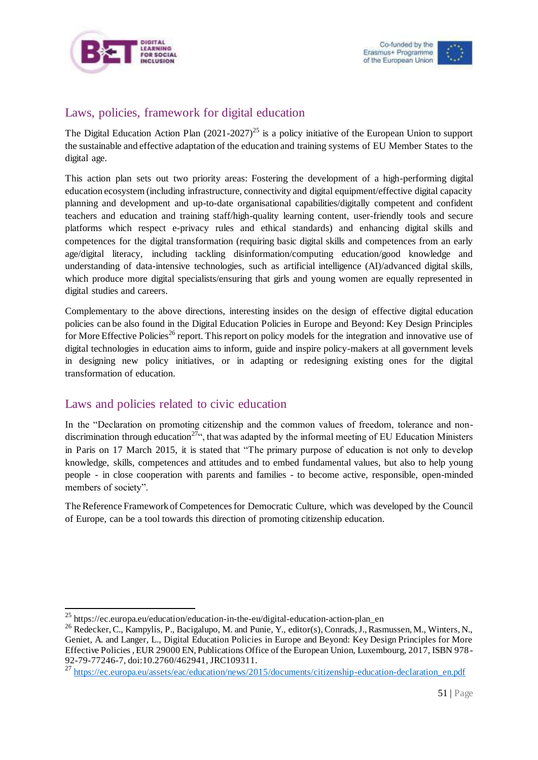![](_page_50_Picture_0.jpeg)

![](_page_50_Picture_2.jpeg)

### <span id="page-50-0"></span>Laws, policies, framework for digital education

The Digital Education Action Plan  $(2021-2027)^{25}$  is a policy initiative of the European Union to support the sustainable and effective adaptation of the education and training systems of EU Member States to the digital age.

This action plan sets out two priority areas: Fostering the development of a high-performing digital education ecosystem (including infrastructure, connectivity and digital equipment/effective digital capacity planning and development and up-to-date organisational capabilities/digitally competent and confident teachers and education and training staff/high-quality learning content, user-friendly tools and secure platforms which respect e-privacy rules and ethical standards) and enhancing digital skills and competences for the digital transformation (requiring basic digital skills and competences from an early age/digital literacy, including tackling disinformation/computing education/good knowledge and understanding of data-intensive technologies, such as artificial intelligence (AI)/advanced digital skills, which produce more digital specialists/ensuring that girls and young women are equally represented in digital studies and careers.

Complementary to the above directions, interesting insides on the design of effective digital education policies can be also found in the Digital Education Policies in Europe and Beyond: Key Design Principles for More Effective Policies<sup>26</sup> report. This report on policy models for the integration and innovative use of digital technologies in education aims to inform, guide and inspire policy-makers at all government levels in designing new policy initiatives, or in adapting or redesigning existing ones for the digital transformation of education.

### <span id="page-50-1"></span>Laws and policies related to civic education

 $\overline{a}$ 

In the "Declaration on promoting citizenship and the common values of freedom, tolerance and nondiscrimination through education<sup>27"</sup>, that was adapted by the informal meeting of EU Education Ministers in Paris on 17 March 2015, it is stated that "The primary purpose of education is not only to develop knowledge, skills, competences and attitudes and to embed fundamental values, but also to help young people - in close cooperation with parents and families - to become active, responsible, open-minded members of society".

The Reference Framework of Competences for Democratic Culture, which was developed by the Council of Europe, can be a tool towards this direction of promoting citizenship education.

<sup>&</sup>lt;sup>25</sup> https://ec.europa.eu/education/education-in-the-eu/digital-education-action-plan\_en

<sup>&</sup>lt;sup>26</sup> Redecker, C., Kampylis, P., Bacigalupo, M. and Punie, Y., editor(s), Conrads, J., Rasmussen, M., Winters, N., Geniet, A. and Langer, L., Digital Education Policies in Europe and Beyond: Key Design Principles for More Effective Policies , EUR 29000 EN, Publications Office of the European Union, Luxembourg, 2017, ISBN 978 - 92-79-77246-7, doi:10.2760/462941, JRC109311.

<sup>27</sup> [https://ec.europa.eu/assets/eac/education/news/2015/documents/citizenship-education-declaration\\_en.p](https://ec.europa.eu/assets/eac/education/news/2015/documents/citizenship-education-declaration_en.pdf)df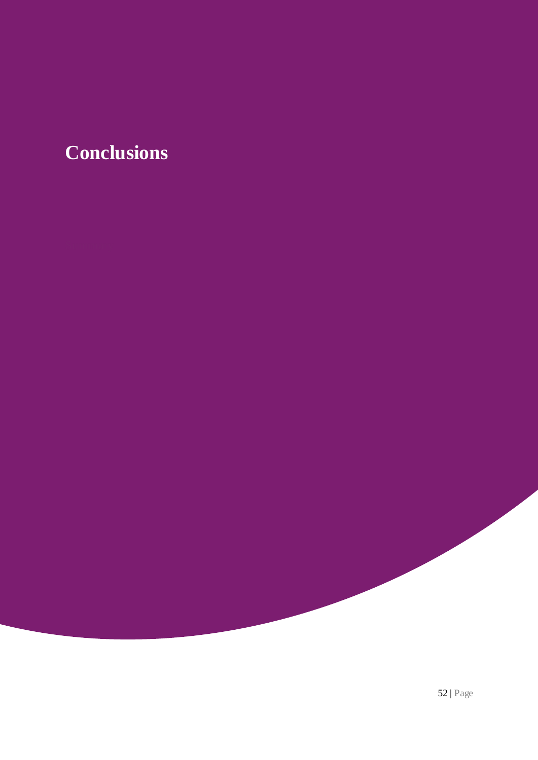# <span id="page-51-1"></span><span id="page-51-0"></span>**Conclusions**

52 | Page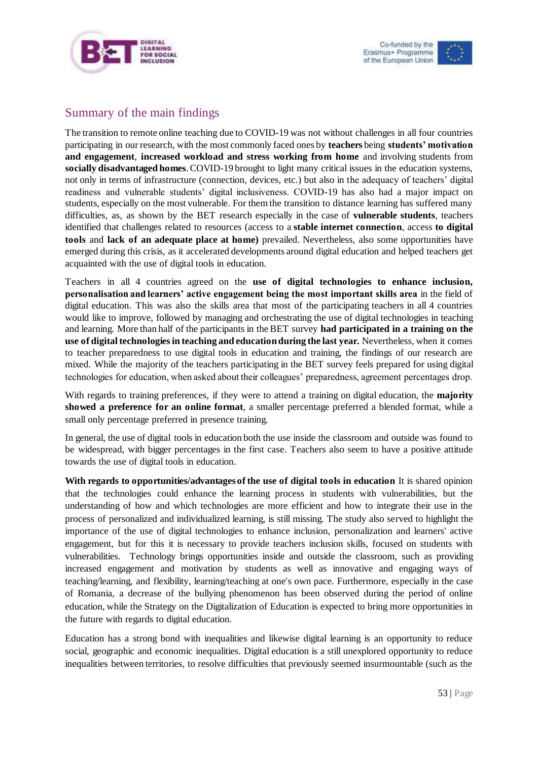![](_page_52_Picture_0.jpeg)

### Summary of the main findings

The transition to remote online teaching due to COVID-19 was not without challenges in all four countries participating in our research, with the most commonly faced ones by **teachers** being **students' motivation and engagement**, **increased workload and stress working from home** and involving students from **socially disadvantaged homes**. COVID-19 brought to light many critical issues in the education systems, not only in terms of infrastructure (connection, devices, etc.) but also in the adequacy of teachers' digital readiness and vulnerable students' digital inclusiveness. COVID-19 has also had a major impact on students, especially on the most vulnerable. For them the transition to distance learning has suffered many difficulties, as, as shown by the BET research especially in the case of **vulnerable students**, teachers identified that challenges related to resources (access to a **stable internet connection**, access **to digital tools** and **lack of an adequate place at home)** prevailed. Nevertheless, also some opportunities have emerged during this crisis, as it accelerated developments around digital education and helped teachers get acquainted with the use of digital tools in education.

Teachers in all 4 countries agreed on the **use of digital technologies to enhance inclusion, personalisation and learners' active engagement being the most important skills area** in the field of digital education. This was also the skills area that most of the participating teachers in all 4 countries would like to improve, followed by managing and orchestrating the use of digital technologies in teaching and learning. More than half of the participants in the BET survey **had participated in a training on the use of digital technologies in teaching and education during the last year.** Nevertheless, when it comes to teacher preparedness to use digital tools in education and training, the findings of our research are mixed. While the majority of the teachers participating in the BET survey feels prepared for using digital technologies for education, when asked about their colleagues' preparedness, agreement percentages drop.

With regards to training preferences, if they were to attend a training on digital education, the **majority showed a preference for an online format**, a smaller percentage preferred a blended format, while a small only percentage preferred in presence training.

In general, the use of digital tools in education both the use inside the classroom and outside was found to be widespread, with bigger percentages in the first case. Teachers also seem to have a positive attitude towards the use of digital tools in education.

**With regards to opportunities/advantages of the use of digital tools in education** It is shared opinion that the technologies could enhance the learning process in students with vulnerabilities, but the understanding of how and which technologies are more efficient and how to integrate their use in the process of personalized and individualized learning, is still missing. The study also served to highlight the importance of the use of digital technologies to enhance inclusion, personalization and learners' active engagement, but for this it is necessary to provide teachers inclusion skills, focused on students with vulnerabilities. Technology brings opportunities inside and outside the classroom, such as providing increased engagement and motivation by students as well as innovative and engaging ways of teaching/learning, and flexibility, learning/teaching at one's own pace. Furthermore, especially in the case of Romania, a decrease of the bullying phenomenon has been observed during the period of online education, while the Strategy on the Digitalization of Education is expected to bring more opportunities in the future with regards to digital education.

Education has a strong bond with inequalities and likewise digital learning is an opportunity to reduce social, geographic and economic inequalities. Digital education is a still unexplored opportunity to reduce inequalities between territories, to resolve difficulties that previously seemed insurmountable (such as the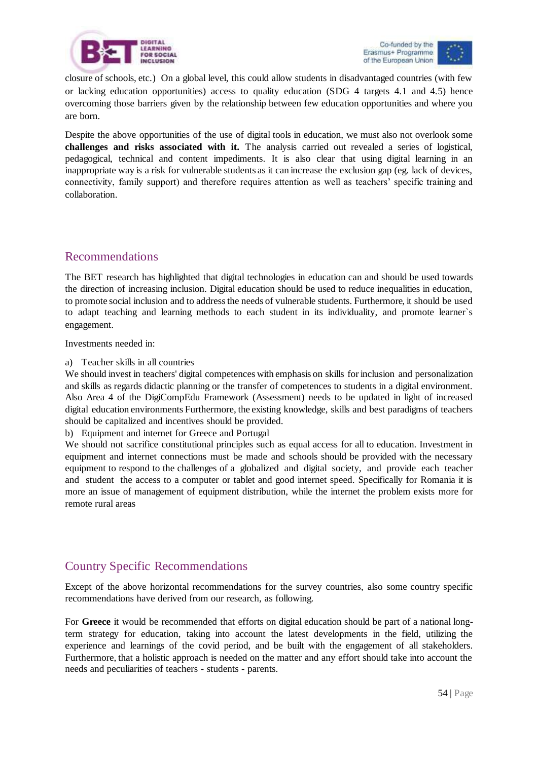![](_page_53_Picture_0.jpeg)

![](_page_53_Picture_1.jpeg)

closure of schools, etc.) On a global level, this could allow students in disadvantaged countries (with few or lacking education opportunities) access to quality education (SDG 4 targets 4.1 and 4.5) hence overcoming those barriers given by the relationship between few education opportunities and where you are born.

Despite the above opportunities of the use of digital tools in education, we must also not overlook some **challenges and risks associated with it.** The analysis carried out revealed a series of logistical, pedagogical, technical and content impediments. It is also clear that using digital learning in an inappropriate way is a risk for vulnerable students as it can increase the exclusion gap (eg. lack of devices, connectivity, family support) and therefore requires attention as well as teachers' specific training and collaboration.

#### <span id="page-53-0"></span>Recommendations

The BET research has highlighted that digital technologies in education can and should be used towards the direction of increasing inclusion. Digital education should be used to reduce inequalities in education, to promote social inclusion and to address the needs of vulnerable students. Furthermore, it should be used to adapt teaching and learning methods to each student in its individuality, and promote learner`s engagement.

Investments needed in:

a) Teacher skills in all countries

We should invest in teachers' digital competences with emphasis on skills for inclusion and personalization and skills as regards didactic planning or the transfer of competences to students in a digital environment. Also Area 4 of the DigiCompEdu Framework (Assessment) needs to be updated in light of increased digital education environments Furthermore, the existing knowledge, skills and best paradigms of teachers should be capitalized and incentives should be provided.

b) Equipment and internet for Greece and Portugal

We should not sacrifice constitutional principles such as equal access for all to education. Investment in equipment and internet connections must be made and schools should be provided with the necessary equipment to respond to the challenges of a globalized and digital society, and provide each teacher and student the access to a computer or tablet and good internet speed. Specifically for Romania it is more an issue of management of equipment distribution, while the internet the problem exists more for remote rural areas

#### Country Specific Recommendations

Except of the above horizontal recommendations for the survey countries, also some country specific recommendations have derived from our research, as following.

For **Greece** it would be recommended that efforts on digital education should be part of a national longterm strategy for education, taking into account the latest developments in the field, utilizing the experience and learnings of the covid period, and be built with the engagement of all stakeholders. Furthermore, that a holistic approach is needed on the matter and any effort should take into account the needs and peculiarities of teachers - students - parents.